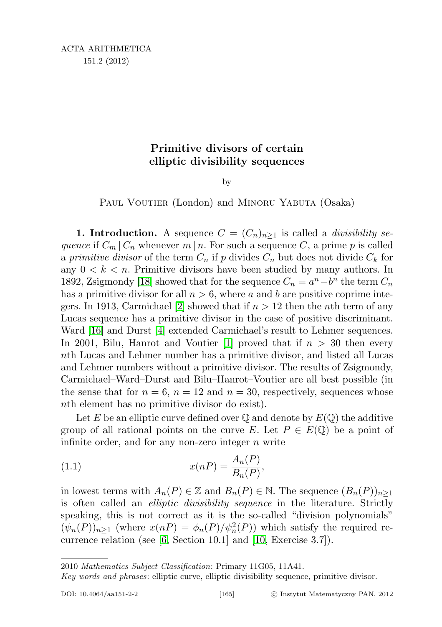## Primitive divisors of certain elliptic divisibility sequences

by

PAUL VOUTIER (London) and MINORU YABUTA (Osaka)

**1. Introduction.** A sequence  $C = (C_n)_{n \geq 1}$  is called a *divisibility se*quence if  $C_m | C_n$  whenever m | n. For such a sequence C, a prime p is called a primitive divisor of the term  $C_n$  if p divides  $C_n$  but does not divide  $C_k$  for any  $0 \leq k \leq n$ . Primitive divisors have been studied by many authors. In 1892, Zsigmondy [\[18\]](#page-24-0) showed that for the sequence  $C_n = a^n - b^n$  the term  $C_n$ has a primitive divisor for all  $n > 6$ , where a and b are positive coprime inte-gers. In 1913, Carmichael [\[2\]](#page-24-1) showed that if  $n > 12$  then the *n*th term of any Lucas sequence has a primitive divisor in the case of positive discriminant. Ward [\[16\]](#page-24-2) and Durst [\[4\]](#page-24-3) extended Carmichael's result to Lehmer sequences. In 2001, Bilu, Hanrot and Voutier [\[1\]](#page-24-4) proved that if  $n > 30$  then every nth Lucas and Lehmer number has a primitive divisor, and listed all Lucas and Lehmer numbers without a primitive divisor. The results of Zsigmondy, Carmichael–Ward–Durst and Bilu–Hanrot–Voutier are all best possible (in the sense that for  $n = 6$ ,  $n = 12$  and  $n = 30$ , respectively, sequences whose nth element has no primitive divisor do exist).

Let E be an elliptic curve defined over  $\mathbb Q$  and denote by  $E(\mathbb Q)$  the additive group of all rational points on the curve E. Let  $P \in E(\mathbb{Q})$  be a point of infinite order, and for any non-zero integer  $n$  write

(1.1) 
$$
x(nP) = \frac{A_n(P)}{B_n(P)},
$$

in lowest terms with  $A_n(P) \in \mathbb{Z}$  and  $B_n(P) \in \mathbb{N}$ . The sequence  $(B_n(P))_{n\geq 1}$ is often called an elliptic divisibility sequence in the literature. Strictly speaking, this is not correct as it is the so-called "division polynomials"  $(\psi_n(P))_{n\geq 1}$  (where  $x(nP) = \phi_n(P)/\psi_n^2(P)$ ) which satisfy the required recurrence relation (see [\[6,](#page-24-5) Section 10.1] and [\[10,](#page-24-6) Exercise 3.7]).

2010 Mathematics Subject Classification: Primary 11G05, 11A41.

Key words and phrases: elliptic curve, elliptic divisibility sequence, primitive divisor.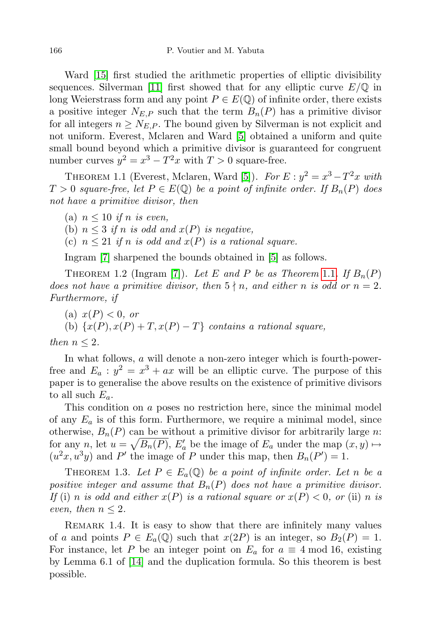Ward [\[15\]](#page-24-7) first studied the arithmetic properties of elliptic divisibility sequences. Silverman [\[11\]](#page-24-8) first showed that for any elliptic curve  $E/\mathbb{Q}$  in long Weierstrass form and any point  $P \in E(\mathbb{Q})$  of infinite order, there exists a positive integer  $N_{E,P}$  such that the term  $B_n(P)$  has a primitive divisor for all integers  $n \geq N_{E,P}$ . The bound given by Silverman is not explicit and not uniform. Everest, Mclaren and Ward [\[5\]](#page-24-9) obtained a uniform and quite small bound beyond which a primitive divisor is guaranteed for congruent number curves  $y^2 = x^3 - T^2x$  with  $T > 0$  square-free.

<span id="page-1-0"></span>THEOREM 1.1 (Everest, Mclaren, Ward [\[5\]](#page-24-9)). For  $E: y^2 = x^3 - T^2x$  with  $T > 0$  square-free, let  $P \in E(\mathbb{Q})$  be a point of infinite order. If  $B_n(P)$  does not have a primitive divisor, then

(a)  $n \leq 10$  if n is even,

(b)  $n \leq 3$  if n is odd and  $x(P)$  is negative,

(c)  $n \leq 21$  if n is odd and  $x(P)$  is a rational square.

Ingram [\[7\]](#page-24-10) sharpened the bounds obtained in [\[5\]](#page-24-9) as follows.

THEOREM 1.2 (Ingram [\[7\]](#page-24-10)). Let E and P be as Theorem [1](#page-1-0).1. If  $B_n(P)$ does not have a primitive divisor, then  $5 \nmid n$ , and either n is odd or  $n = 2$ . Furthermore, if

(a)  $x(P) < 0$ , or

(b)  $\{x(P), x(P) + T, x(P) - T\}$  contains a rational square,

then 
$$
n \leq 2
$$
.

In what follows, a will denote a non-zero integer which is fourth-powerfree and  $E_a: y^2 = x^3 + ax$  will be an elliptic curve. The purpose of this paper is to generalise the above results on the existence of primitive divisors to all such  $E_a$ .

This condition on a poses no restriction here, since the minimal model of any  $E_a$  is of this form. Furthermore, we require a minimal model, since otherwise,  $B_n(P)$  can be without a primitive divisor for arbitrarily large n: for any n, let  $u = \sqrt{B_n(P)}$ ,  $E'_a$  be the image of  $E_a$  under the map  $(x, y) \mapsto$  $(u^2x, u^3y)$  and P' the image of P under this map, then  $B_n(P') = 1$ .

<span id="page-1-1"></span>THEOREM 1.3. Let  $P \in E_a(\mathbb{Q})$  be a point of infinite order. Let n be a positive integer and assume that  $B_n(P)$  does not have a primitive divisor. If (i) n is odd and either  $x(P)$  is a rational square or  $x(P) < 0$ , or (ii) n is even, then  $n \leq 2$ .

<span id="page-1-2"></span>REMARK 1.4. It is easy to show that there are infinitely many values of a and points  $P \in E_a(\mathbb{Q})$  such that  $x(2P)$  is an integer, so  $B_2(P) = 1$ . For instance, let P be an integer point on  $E_a$  for  $a \equiv 4 \mod 16$ , existing by Lemma 6.1 of [\[14\]](#page-24-11) and the duplication formula. So this theorem is best possible.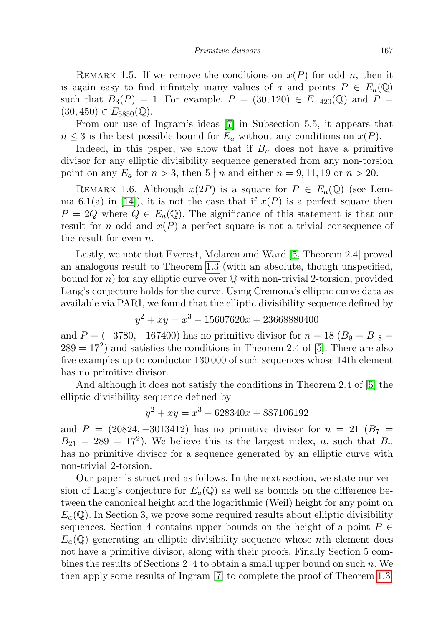REMARK 1.5. If we remove the conditions on  $x(P)$  for odd n, then it is again easy to find infinitely many values of a and points  $P \in E_a(\mathbb{Q})$ such that  $B_3(P) = 1$ . For example,  $P = (30, 120) \in E_{-420}(\mathbb{Q})$  and  $P =$  $(30, 450) \in E_{5850}(\mathbb{Q}).$ 

From our use of Ingram's ideas [\[7\]](#page-24-10) in Subsection 5.5, it appears that  $n \leq 3$  is the best possible bound for  $E_a$  without any conditions on  $x(P)$ .

Indeed, in this paper, we show that if  $B_n$  does not have a primitive divisor for any elliptic divisibility sequence generated from any non-torsion point on any  $E_a$  for  $n > 3$ , then  $5 \nmid n$  and either  $n = 9, 11, 19$  or  $n > 20$ .

REMARK 1.6. Although  $x(2P)$  is a square for  $P \in E_a(\mathbb{Q})$  (see Lem-ma 6.1(a) in [\[14\]](#page-24-11)), it is not the case that if  $x(P)$  is a perfect square then  $P = 2Q$  where  $Q \in E_a(\mathbb{Q})$ . The significance of this statement is that our result for n odd and  $x(P)$  a perfect square is not a trivial consequence of the result for even n.

Lastly, we note that Everest, Mclaren and Ward [\[5,](#page-24-9) Theorem 2.4] proved an analogous result to Theorem [1.3](#page-1-1) (with an absolute, though unspecified, bound for n) for any elliptic curve over  $\mathbb Q$  with non-trivial 2-torsion, provided Lang's conjecture holds for the curve. Using Cremona's elliptic curve data as available via PARI, we found that the elliptic divisibility sequence defined by

$$
y^2 + xy = x^3 - 15607620x + 23668880400
$$

and  $P = (-3780, -167400)$  has no primitive divisor for  $n = 18$  ( $B_9 = B_{18} =$  $289 = 17<sup>2</sup>$  and satisfies the conditions in Theorem 2.4 of [\[5\]](#page-24-9). There are also five examples up to conductor 130 000 of such sequences whose 14th element has no primitive divisor.

And although it does not satisfy the conditions in Theorem 2.4 of [\[5\]](#page-24-9) the elliptic divisibility sequence defined by

$$
y^2 + xy = x^3 - 628340x + 887106192
$$

and  $P = (20824, -3013412)$  has no primitive divisor for  $n = 21$  ( $B_7$ )  $B_{21} = 289 = 17^2$ . We believe this is the largest index, n, such that  $B_n$ has no primitive divisor for a sequence generated by an elliptic curve with non-trivial 2-torsion.

Our paper is structured as follows. In the next section, we state our version of Lang's conjecture for  $E_a(\mathbb{Q})$  as well as bounds on the difference between the canonical height and the logarithmic (Weil) height for any point on  $E_a(\mathbb{Q})$ . In Section 3, we prove some required results about elliptic divisibility sequences. Section 4 contains upper bounds on the height of a point  $P \in$  $E_a(\mathbb{Q})$  generating an elliptic divisibility sequence whose nth element does not have a primitive divisor, along with their proofs. Finally Section 5 combines the results of Sections  $2-4$  to obtain a small upper bound on such n. We then apply some results of Ingram [\[7\]](#page-24-10) to complete the proof of Theorem [1.3.](#page-1-1)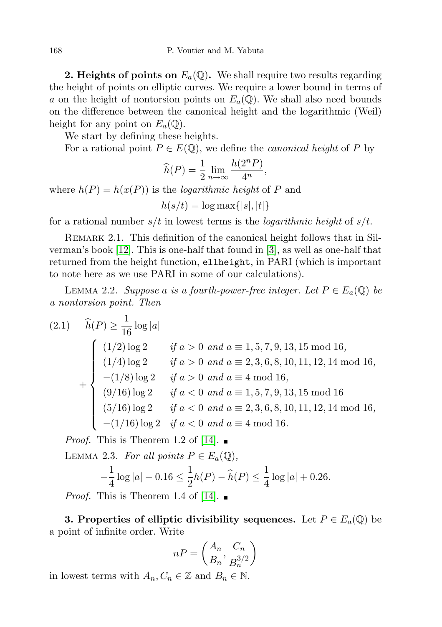**2. Heights of points on**  $E_a(\mathbb{Q})$ . We shall require two results regarding the height of points on elliptic curves. We require a lower bound in terms of a on the height of nontorsion points on  $E_a(\mathbb{Q})$ . We shall also need bounds on the difference between the canonical height and the logarithmic (Weil) height for any point on  $E_a(\mathbb{Q})$ .

We start by defining these heights.

For a rational point  $P \in E(\mathbb{Q})$ , we define the *canonical height* of P by

$$
\widehat{h}(P) = \frac{1}{2} \lim_{n \to \infty} \frac{h(2^n P)}{4^n},
$$

where  $h(P) = h(x(P))$  is the *logarithmic height* of P and

$$
h(s/t) = \log \max\{|s|, |t|\}
$$

for a rational number  $s/t$  in lowest terms is the *logarithmic height* of  $s/t$ .

REMARK 2.1. This definition of the canonical height follows that in Silverman's book [\[12\]](#page-24-12). This is one-half that found in [\[3\]](#page-24-13), as well as one-half that returned from the height function, ellheight, in PARI (which is important to note here as we use PARI in some of our calculations).

<span id="page-3-1"></span>LEMMA 2.2. Suppose a is a fourth-power-free integer. Let  $P \in E_a(\mathbb{Q})$  be a nontorsion point. Then

$$
(2.1) \quad \hat{h}(P) \ge \frac{1}{16} \log |a|
$$
\n
$$
\begin{cases}\n(1/2) \log 2 & \text{if } a > 0 \text{ and } a \equiv 1, 5, 7, 9, 13, 15 \text{ mod } 16, \\
(1/4) \log 2 & \text{if } a > 0 \text{ and } a \equiv 2, 3, 6, 8, 10, 11, 12, 14 \text{ mod } 16, \\
-(1/8) \log 2 & \text{if } a > 0 \text{ and } a \equiv 4 \text{ mod } 16, \\
(9/16) \log 2 & \text{if } a < 0 \text{ and } a \equiv 1, 5, 7, 9, 13, 15 \text{ mod } 16 \\
(5/16) \log 2 & \text{if } a < 0 \text{ and } a \equiv 2, 3, 6, 8, 10, 11, 12, 14 \text{ mod } 16, \\
-(1/16) \log 2 & \text{if } a < 0 \text{ and } a \equiv 4 \text{ mod } 16.\n\end{cases}
$$

*Proof.* This is Theorem 1.2 of [\[14\]](#page-24-11).  $\blacksquare$ 

<span id="page-3-0"></span>LEMMA 2.3. For all points  $P \in E_a(\mathbb{Q}),$ 

$$
-\frac{1}{4}\log|a| - 0.16 \le \frac{1}{2}h(P) - \widehat{h}(P) \le \frac{1}{4}\log|a| + 0.26.
$$

*Proof.* This is Theorem 1.4 of [\[14\]](#page-24-11).  $\blacksquare$ 

**3. Properties of elliptic divisibility sequences.** Let  $P \in E_a(\mathbb{Q})$  be a point of infinite order. Write

$$
nP = \left(\frac{A_n}{B_n}, \frac{C_n}{B_n^{3/2}}\right)
$$

in lowest terms with  $A_n, C_n \in \mathbb{Z}$  and  $B_n \in \mathbb{N}$ .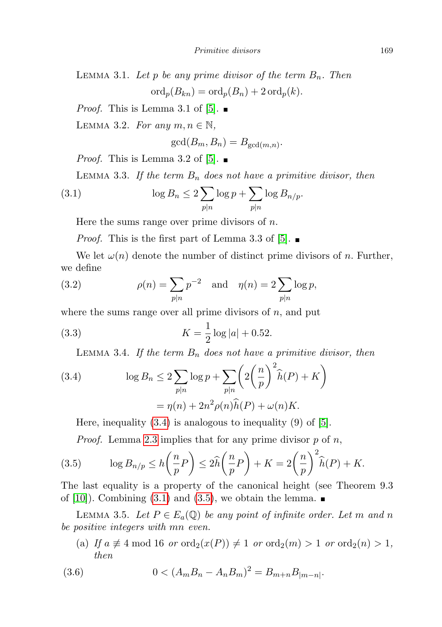LEMMA 3.1. Let p be any prime divisor of the term  $B_n$ . Then  $\text{ord}_p(B_{kn}) = \text{ord}_p(B_n) + 2 \text{ ord}_p(k).$ 

*Proof.* This is Lemma 3.1 of [\[5\]](#page-24-9).  $\blacksquare$ 

<span id="page-4-3"></span>LEMMA 3.2. For any  $m, n \in \mathbb{N}$ ,

<span id="page-4-1"></span>
$$
\gcd(B_m, B_n) = B_{\gcd(m,n)}.
$$

*Proof.* This is Lemma 3.2 of [\[5\]](#page-24-9).  $\blacksquare$ 

<span id="page-4-8"></span>LEMMA 3.3. If the term  $B_n$  does not have a primitive divisor, then

(3.1) 
$$
\log B_n \leq 2 \sum_{p|n} \log p + \sum_{p|n} \log B_{n/p}.
$$

Here the sums range over prime divisors of  $n$ .

<span id="page-4-4"></span>*Proof.* This is the first part of Lemma 3.3 of [\[5\]](#page-24-9).  $\blacksquare$ 

We let  $\omega(n)$  denote the number of distinct prime divisors of n. Further, we define

(3.2) 
$$
\rho(n) = \sum_{p|n} p^{-2}
$$
 and  $\eta(n) = 2 \sum_{p|n} \log p$ ,

where the sums range over all prime divisors of  $n$ , and put

(3.3) 
$$
K = \frac{1}{2} \log |a| + 0.52.
$$

<span id="page-4-7"></span><span id="page-4-5"></span>LEMMA 3.4. If the term  $B_n$  does not have a primitive divisor, then

<span id="page-4-0"></span>(3.4) 
$$
\log B_n \le 2 \sum_{p|n} \log p + \sum_{p|n} \left( 2\left(\frac{n}{p}\right)^2 \widehat{h}(P) + K \right)
$$

$$
= \eta(n) + 2n^2 \rho(n)\widehat{h}(P) + \omega(n)K.
$$

Here, inequality  $(3.4)$  is analogous to inequality  $(9)$  of  $[5]$ .

*Proof.* Lemma [2.3](#page-3-0) implies that for any prime divisor  $p$  of  $n$ ,

<span id="page-4-2"></span>(3.5) 
$$
\log B_{n/p} \le h\left(\frac{n}{p}P\right) \le 2\widehat{h}\left(\frac{n}{p}P\right) + K = 2\left(\frac{n}{p}\right)^2 \widehat{h}(P) + K.
$$

The last equality is a property of the canonical height (see Theorem 9.3 of [\[10\]](#page-24-6)). Combining [\(3.1\)](#page-4-1) and [\(3.5\)](#page-4-2), we obtain the lemma.  $\blacksquare$ 

<span id="page-4-6"></span>LEMMA 3.5. Let  $P \in E_a(\mathbb{Q})$  be any point of infinite order. Let m and n be positive integers with mn even.

(a) If  $a \not\equiv 4 \mod 16$  or  $\text{ord}_2(x(P)) \not\equiv 1$  or  $\text{ord}_2(m) > 1$  or  $\text{ord}_2(n) > 1$ , then

(3.6) 
$$
0 < (A_m B_n - A_n B_m)^2 = B_{m+n} B_{|m-n|}.
$$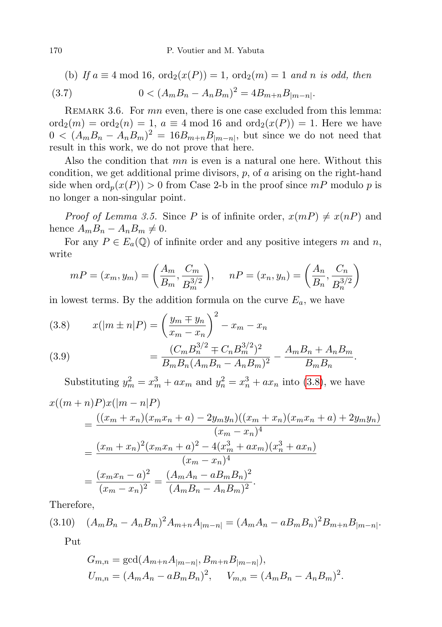(b) If 
$$
a \equiv 4 \mod 16
$$
,  $\text{ord}_2(x(P)) = 1$ ,  $\text{ord}_2(m) = 1$  and n is odd, then

(3.7) 
$$
0 < (A_m B_n - A_n B_m)^2 = 4B_{m+n} B_{|m-n|}.
$$

<span id="page-5-0"></span>REMARK 3.6. For  $mn$  even, there is one case excluded from this lemma:  $\text{ord}_2(m) = \text{ord}_2(n) = 1, a \equiv 4 \bmod 16 \text{ and } \text{ord}_2(x(P)) = 1.$  Here we have  $0 < (A_m B_n - A_n B_m)^2 = 16B_{m+n} B_{|m-n|}$ , but since we do not need that result in this work, we do not prove that here.

Also the condition that mn is even is a natural one here. Without this condition, we get additional prime divisors,  $p$ , of  $a$  arising on the right-hand side when  $\text{ord}_p(x(P)) > 0$  from Case 2-b in the proof since  $mP$  modulo p is no longer a non-singular point.

*Proof of Lemma 3.5.* Since P is of infinite order,  $x(mP) \neq x(nP)$  and hence  $A_m B_n - A_n B_m \neq 0$ .

For any  $P \in E_a(\mathbb{Q})$  of infinite order and any positive integers m and n, write

$$
mP = (x_m, y_m) = \left(\frac{A_m}{B_m}, \frac{C_m}{B_m^{3/2}}\right), \quad nP = (x_n, y_n) = \left(\frac{A_n}{B_n}, \frac{C_n}{B_n^{3/2}}\right)
$$

in lowest terms. By the addition formula on the curve  $E_a$ , we have

(3.8) 
$$
x(|m \pm n|P) = \left(\frac{y_m \mp y_n}{x_m - x_n}\right)^2 - x_m - x_n
$$

(3.9) 
$$
= \frac{(C_m B_n^{3/2} \mp C_n B_m^{3/2})^2}{B_m B_n (A_m B_n - A_n B_m)^2} - \frac{A_m B_n + A_n B_m}{B_m B_n}.
$$

Substituting  $y_m^2 = x_m^3 + ax_m$  and  $y_n^2 = x_n^3 + ax_n$  into [\(3.8\)](#page-5-0), we have  $\left(\left(\cos + \infty\right)D\right)x(\cos - x)D$ 

$$
x((m+n)P)x((m-n|P)
$$
  
= 
$$
\frac{((x_m+x_n)(x_mx_n+a)-2y_my_n)((x_m+x_n)(x_mx_n+a)+2y_my_n)}{(x_m-x_n)^4}
$$
  
= 
$$
\frac{(x_m+x_n)^2(x_mx_n+a)^2-4(x_m^3+ax_m)(x_n^3+ax_n)}{(x_m-x_n)^4}
$$
  
= 
$$
\frac{(x_mx_n-a)^2}{(x_m-x_n)^2} = \frac{(A_mA_n-aB_mB_n)^2}{(A_mB_n-A_nB_m)^2}.
$$

Therefore,

$$
(3.10) \quad (A_m B_n - A_n B_m)^2 A_{m+n} A_{|m-n|} = (A_m A_n - a B_m B_n)^2 B_{m+n} B_{|m-n|}.
$$

<span id="page-5-1"></span>Put

$$
G_{m,n} = \gcd(A_{m+n}A_{|m-n|}, B_{m+n}B_{|m-n|}),
$$
  
\n
$$
U_{m,n} = (A_mA_n - aB_mB_n)^2, \quad V_{m,n} = (A_mB_n - A_nB_m)^2.
$$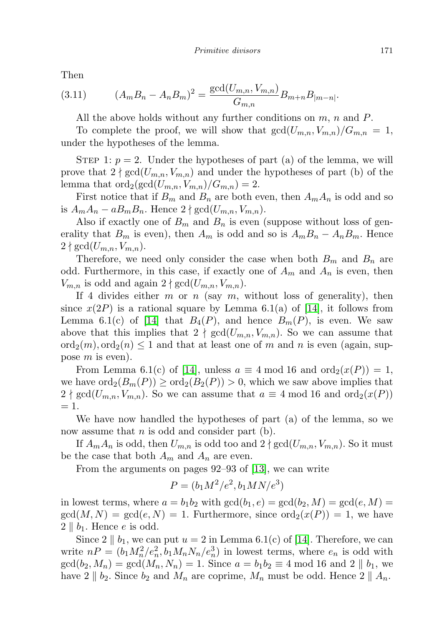Then

(3.11) 
$$
(A_m B_n - A_n B_m)^2 = \frac{\gcd(U_{m,n}, V_{m,n})}{G_{m,n}} B_{m+n} B_{|m-n|}.
$$

<span id="page-6-0"></span>All the above holds without any further conditions on  $m$ ,  $n$  and  $P$ .

To complete the proof, we will show that  $gcd(U_{m,n}, V_{m,n})/G_{m,n} = 1$ , under the hypotheses of the lemma.

STEP 1:  $p = 2$ . Under the hypotheses of part (a) of the lemma, we will prove that  $2 \nmid \gcd(U_{m,n}, V_{m,n})$  and under the hypotheses of part (b) of the lemma that  $\text{ord}_2(\text{gcd}(U_{m,n}, V_{m,n})/G_{m,n}) = 2.$ 

First notice that if  $B_m$  and  $B_n$  are both even, then  $A_mA_n$  is odd and so is  $A_mA_n - aB_mB_n$ . Hence  $2 \nmid \gcd(U_{m,n}, V_{m,n})$ .

Also if exactly one of  $B_m$  and  $B_n$  is even (suppose without loss of generality that  $B_m$  is even), then  $A_m$  is odd and so is  $A_mB_n - A_nB_m$ . Hence  $2 \nmid \gcd(U_{m,n}, V_{m,n}).$ 

Therefore, we need only consider the case when both  $B_m$  and  $B_n$  are odd. Furthermore, in this case, if exactly one of  $A_m$  and  $A_n$  is even, then  $V_{m,n}$  is odd and again  $2 \nmid \gcd(U_{m,n}, V_{m,n}).$ 

If 4 divides either  $m$  or  $n$  (say  $m$ , without loss of generality), then since  $x(2P)$  is a rational square by Lemma 6.1(a) of [\[14\]](#page-24-11), it follows from Lemma 6.1(c) of [\[14\]](#page-24-11) that  $B_4(P)$ , and hence  $B_m(P)$ , is even. We saw above that this implies that  $2 \nmid \gcd(U_{m,n}, V_{m,n})$ . So we can assume that  $\text{ord}_2(m), \text{ord}_2(n) \leq 1$  and that at least one of m and n is even (again, suppose m is even).

From Lemma 6.1(c) of [\[14\]](#page-24-11), unless  $a \equiv 4 \mod 16$  and  $\text{ord}_2(x(P)) = 1$ , we have  $\text{ord}_2(B_m(P)) \geq \text{ord}_2(B_2(P)) > 0$ , which we saw above implies that  $2 \nmid \gcd(U_{m,n}, V_{m,n})$ . So we can assume that  $a \equiv 4 \mod 16$  and  $\text{ord}_2(x(P))$  $= 1.$ 

We have now handled the hypotheses of part (a) of the lemma, so we now assume that  $n$  is odd and consider part (b).

If  $A_m A_n$  is odd, then  $U_{m,n}$  is odd too and  $2 \nmid \gcd(U_{m,n}, V_{m,n})$ . So it must be the case that both  $A_m$  and  $A_n$  are even.

From the arguments on pages 92–93 of [\[13\]](#page-24-14), we can write

$$
P = (b_1 M^2/e^2, b_1 M N/e^3)
$$

in lowest terms, where  $a = b_1b_2$  with  $gcd(b_1, e) = gcd(b_2, M) = gcd(e, M)$  $gcd(M, N) = gcd(e, N) = 1$ . Furthermore, since  $ord_2(x(P)) = 1$ , we have  $2 \parallel b_1$ . Hence e is odd.

Since  $2 \parallel b_1$ , we can put  $u = 2$  in Lemma 6.1(c) of [\[14\]](#page-24-11). Therefore, we can write  $nP = (b_1 M_n^2/e_n^2, b_1 M_n N_n/e_n^3)$  in lowest terms, where  $e_n$  is odd with  $gcd(b_2, M_n) = gcd(M_n, N_n) = 1$ . Since  $a = b_1b_2 \equiv 4 \mod 16$  and  $2 \parallel b_1$ , we have  $2 \parallel b_2$ . Since  $b_2$  and  $M_n$  are coprime,  $M_n$  must be odd. Hence  $2 \parallel A_n$ .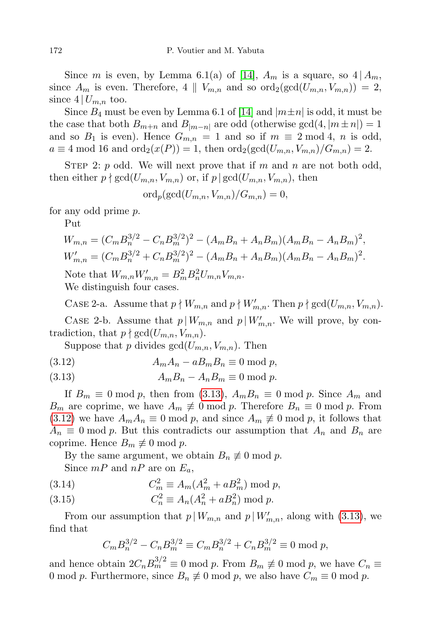Since m is even, by Lemma 6.1(a) of [\[14\]](#page-24-11),  $A_m$  is a square, so  $4 \mid A_m$ , since  $A_m$  is even. Therefore, 4 ||  $V_{m,n}$  and so  $\text{ord}_2(\text{gcd}(U_{m,n}, V_{m,n})) = 2$ , since  $4 | U_{m,n}$  too.

Since  $B_4$  must be even by Lemma 6.1 of [\[14\]](#page-24-11) and  $|m \pm n|$  is odd, it must be the case that both  $B_{m+n}$  and  $B_{|m-n|}$  are odd (otherwise  $gcd(4, |m \pm n|) = 1$ and so  $B_1$  is even). Hence  $G_{m,n} = 1$  and so if  $m \equiv 2 \mod 4$ , n is odd,  $a \equiv 4 \mod 16$  and  $\text{ord}_2(x(P)) = 1$ , then  $\text{ord}_2(\text{gcd}(U_{m,n}, V_{m,n})/G_{m,n}) = 2$ .

STEP 2: p odd. We will next prove that if m and n are not both odd, then either  $p \nmid \gcd(U_{m,n}, V_{m,n})$  or, if  $p \mid \gcd(U_{m,n}, V_{m,n})$ , then

$$
\mathrm{ord}_p(\mathrm{gcd}(U_{m,n},V_{m,n})/G_{m,n})=0,
$$

for any odd prime p.

Put

$$
W_{m,n} = (C_m B_n^{3/2} - C_n B_m^{3/2})^2 - (A_m B_n + A_n B_m)(A_m B_n - A_n B_m)^2,
$$
  
\n
$$
W'_{m,n} = (C_m B_n^{3/2} + C_n B_m^{3/2})^2 - (A_m B_n + A_n B_m)(A_m B_n - A_n B_m)^2.
$$
  
\nNote that  $W_{m,n} W'_{m,n} = B_m^2 B_n^2 U_{m,n} V_{m,n}.$   
\nWe distinguish four cases.

CASE 2-a. Assume that  $p \nmid W_{m,n}$  and  $p \nmid W'_{m,n}$ . Then  $p \nmid \gcd(U_{m,n}, V_{m,n})$ .

CASE 2-b. Assume that  $p \mid W_{m,n}$  and  $p \mid W'_{m,n}$ . We will prove, by contradiction, that  $p \nmid \gcd(U_{m,n}, V_{m,n})$ .

Suppose that p divides  $gcd(U_{m,n}, V_{m,n})$ . Then

$$
(3.12) \t AmAn - aBmBn \equiv 0 \bmod p,
$$

(3.13) 
$$
A_m B_n - A_n B_m \equiv 0 \text{ mod } p.
$$

If  $B_m \equiv 0 \mod p$ , then from [\(3.13\)](#page-6-0),  $A_m B_n \equiv 0 \mod p$ . Since  $A_m$  and  $B_m$  are coprime, we have  $A_m \neq 0 \text{ mod } p$ . Therefore  $B_n \equiv 0 \text{ mod } p$ . From [\(3.12\)](#page-6-0) we have  $A_m A_n \equiv 0 \mod p$ , and since  $A_m \not\equiv 0 \mod p$ , it follows that  $A_n \equiv 0 \mod p$ . But this contradicts our assumption that  $A_n$  and  $B_n$  are coprime. Hence  $B_m \not\equiv 0 \mod p$ .

By the same argument, we obtain  $B_n \not\equiv 0 \mod p$ . Since  $mP$  and  $nP$  are on  $E_a$ ,

$$
(3.14) \t C_m^2 \equiv A_m (A_m^2 + a B_m^2) \bmod p,
$$

(3.15) 
$$
C_n^2 \equiv A_n (A_n^2 + a B_n^2) \bmod p.
$$

From our assumption that  $p \mid W_{m,n}$  and  $p \mid W'_{m,n}$ , along with [\(3.13\)](#page-6-0), we find that

$$
C_m B_n^{3/2} - C_n B_m^{3/2} \equiv C_m B_n^{3/2} + C_n B_m^{3/2} \equiv 0 \text{ mod } p,
$$

and hence obtain  $2C_nB_m^{3/2} \equiv 0 \mod p$ . From  $B_m \not\equiv 0 \mod p$ , we have  $C_n \equiv$ 0 mod p. Furthermore, since  $B_n \not\equiv 0 \mod p$ , we also have  $C_m \equiv 0 \mod p$ .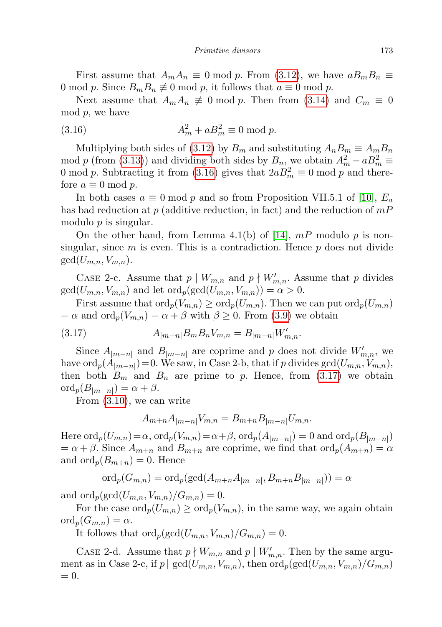First assume that  $A_mA_n \equiv 0 \mod p$ . From [\(3.12\)](#page-6-0), we have  $aB_mB_n \equiv$ 0 mod p. Since  $B_m B_n \not\equiv 0 \mod p$ , it follows that  $a \equiv 0 \mod p$ .

Next assume that  $A_mA_n \neq 0 \text{ mod } p$ . Then from [\(3.14\)](#page-6-0) and  $C_m \equiv 0$  $mod\ p$ , we have

(3.16) 
$$
A_m^2 + aB_m^2 \equiv 0 \mod p.
$$

Multiplying both sides of [\(3.12\)](#page-6-0) by  $B_m$  and substituting  $A_nB_m \equiv A_mB_n$ mod p (from [\(3.13\)](#page-6-0)) and dividing both sides by  $B_n$ , we obtain  $A_m^2 - aB_m^2 \equiv$ 0 mod p. Subtracting it from [\(3.16\)](#page-6-0) gives that  $2aB_m^2 \equiv 0 \mod p$  and therefore  $a \equiv 0 \mod p$ .

In both cases  $a \equiv 0 \mod p$  and so from Proposition VII.5.1 of [\[10\]](#page-24-6),  $E_a$ has bad reduction at p (additive reduction, in fact) and the reduction of  $mP$ modulo  $p$  is singular.

On the other hand, from Lemma 4.1(b) of [\[14\]](#page-24-11),  $mP$  modulo p is nonsingular, since  $m$  is even. This is a contradiction. Hence  $p$  does not divide  $gcd(U_{m,n}, V_{m,n}).$ 

CASE 2-c. Assume that  $p \mid W_{m,n}$  and  $p \nmid W'_{m,n}$ . Assume that p divides  $gcd(U_{m,n}, V_{m,n})$  and let  $ord_p(\gcd(U_{m,n}, V_{m,n})) = \alpha > 0$ .

First assume that  $\text{ord}_p(V_{m,n}) \geq \text{ord}_p(U_{m,n})$ . Then we can put  $\text{ord}_p(U_{m,n})$  $=\alpha$  and  $\text{ord}_p(V_{m,n}) = \alpha + \beta$  with  $\beta \geq 0$ . From [\(3.9\)](#page-5-0) we obtain

(3.17) 
$$
A_{|m-n|}B_m B_n V_{m,n} = B_{|m-n|} W'_{m,n}.
$$

Since  $A_{|m-n|}$  and  $B_{|m-n|}$  are coprime and p does not divide  $W'_{m,n}$ , we have  $\mathrm{ord}_p(A_{|m-n|})$ =0. We saw, in Case 2-b, that if p divides  $\gcd(U_{m,n},V_{m,n}),$ then both  $B_m$  and  $B_n$  are prime to p. Hence, from [\(3.17\)](#page-8-0) we obtain  $\operatorname{ord}_p(B_{|m-n|}) = \alpha + \beta.$ 

From [\(3.10\)](#page-5-1), we can write

<span id="page-8-0"></span>
$$
A_{m+n}A_{|m-n|}V_{m,n} = B_{m+n}B_{|m-n|}U_{m,n}.
$$

Here  $\text{ord}_p(U_{m,n}) = \alpha$ ,  $\text{ord}_p(V_{m,n}) = \alpha + \beta$ ,  $\text{ord}_p(A_{|m-n|}) = 0$  and  $\text{ord}_p(B_{|m-n|})$  $=\alpha + \beta$ . Since  $A_{m+n}$  and  $B_{m+n}$  are coprime, we find that  $\text{ord}_p(A_{m+n}) = \alpha$ and  $\operatorname{ord}_p(B_{m+n})=0$ . Hence

$$
\mathrm{ord}_p(G_{m,n}) = \mathrm{ord}_p(\gcd(A_{m+n}A_{|m-n|},B_{m+n}B_{|m-n|})) = \alpha
$$

and  $\operatorname{ord}_p(\gcd(U_{m,n}, V_{m,n})/G_{m,n}) = 0.$ 

For the case  $\text{ord}_p(U_{m,n}) \geq \text{ord}_p(V_{m,n})$ , in the same way, we again obtain  $\operatorname{ord}_p(G_{m,n}) = \alpha.$ 

It follows that  $\operatorname{ord}_p(\gcd(U_{m,n}, V_{m,n})/G_{m,n}) = 0.$ 

CASE 2-d. Assume that  $p \nmid W_{m,n}$  and  $p \mid W'_{m,n}$ . Then by the same argument as in Case 2-c, if  $p \mid \gcd(U_{m,n}, V_{m,n})$ , then  $\text{ord}_p(\gcd(U_{m,n}, V_{m,n})/G_{m,n})$  $= 0.$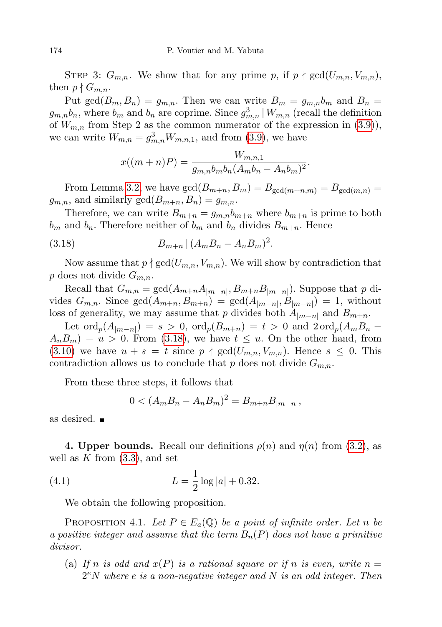STEP 3:  $G_{m,n}$ . We show that for any prime p, if  $p \nmid \gcd(U_{m,n}, V_{m,n})$ , then  $p \nmid G_{m,n}$ .

Put gcd $(B_m, B_n) = g_{m,n}$ . Then we can write  $B_m = g_{m,n}b_m$  and  $B_n = g_{m,n}b_m$  $g_{m,n}b_n$ , where  $b_m$  and  $b_n$  are coprime. Since  $g_{m,n}^3 \mid W_{m,n}$  (recall the definition of  $W_{m,n}$  from Step 2 as the common numerator of the expression in [\(3.9\)](#page-5-0)), we can write  $W_{m,n} = g_{m,n}^3 W_{m,n,1}$ , and from [\(3.9\)](#page-5-0), we have

<span id="page-9-0"></span>
$$
x((m+n)P) = \frac{W_{m,n,1}}{g_{m,n}b_mb_n(A_mb_n - A_nb_m)^2}.
$$

From Lemma [3.2,](#page-4-3) we have  $gcd(B_{m+n}, B_m) = B_{gcd(m+n,m)} = B_{gcd(m,n)} =$  $g_{m,n}$ , and similarly  $gcd(B_{m+n}, B_n) = g_{m,n}$ .

Therefore, we can write  $B_{m+n} = g_{m,n} b_{m+n}$  where  $b_{m+n}$  is prime to both  $b_m$  and  $b_n$ . Therefore neither of  $b_m$  and  $b_n$  divides  $B_{m+n}$ . Hence

(3.18) 
$$
B_{m+n} | (A_m B_n - A_n B_m)^2.
$$

Now assume that  $p \nmid \gcd(U_{m,n}, V_{m,n})$ . We will show by contradiction that p does not divide  $G_{m,n}$ .

Recall that  $G_{m,n} = \gcd(A_{m+n}A_{|m-n|}, B_{m+n}B_{|m-n|})$ . Suppose that p divides  $G_{m,n}$ . Since  $gcd(A_{m+n}, B_{m+n}) = gcd(A_{|m-n|}, B_{|m-n|}) = 1$ , without loss of generality, we may assume that p divides both  $A_{|m-n|}$  and  $B_{m+n}$ .

Let  $\text{ord}_p(A_{|m-n|}) = s > 0$ ,  $\text{ord}_p(B_{m+n}) = t > 0$  and  $2 \text{ord}_p(A_m B_n A_n B_m$  =  $u > 0$ . From [\(3.18\)](#page-9-0), we have  $t \leq u$ . On the other hand, from [\(3.10\)](#page-5-1) we have  $u + s = t$  since  $p \nmid \gcd(U_{m,n}, V_{m,n})$ . Hence  $s \leq 0$ . This contradiction allows us to conclude that p does not divide  $G_{m,n}$ .

From these three steps, it follows that

<span id="page-9-2"></span>
$$
0 < (A_m B_n - A_n B_m)^2 = B_{m+n} B_{|m-n|},
$$

as desired.

**4. Upper bounds.** Recall our definitions  $\rho(n)$  and  $\eta(n)$  from [\(3.2\)](#page-4-4), as well as  $K$  from  $(3.3)$ , and set

(4.1) 
$$
L = \frac{1}{2} \log |a| + 0.32.
$$

We obtain the following proposition.

<span id="page-9-1"></span>PROPOSITION 4.1. Let  $P \in E_a(\mathbb{Q})$  be a point of infinite order. Let n be a positive integer and assume that the term  $B_n(P)$  does not have a primitive divisor.

(a) If n is odd and  $x(P)$  is a rational square or if n is even, write  $n =$  $2<sup>e</sup>N$  where e is a non-negative integer and N is an odd integer. Then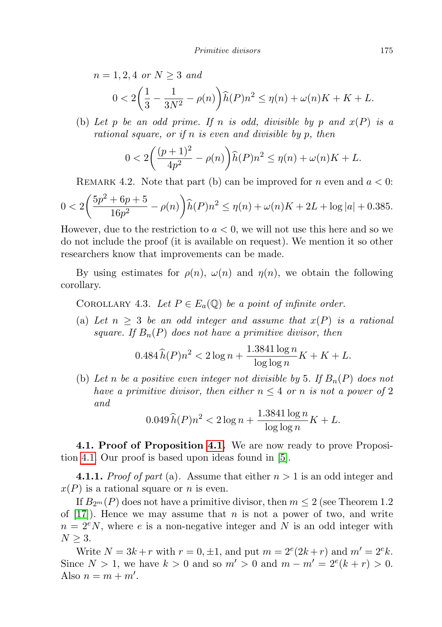$n = 1, 2, 4 \text{ or } N > 3 \text{ and}$ 

$$
0 < 2\left(\frac{1}{3} - \frac{1}{3N^2} - \rho(n)\right) \widehat{h}(P)n^2 \le \eta(n) + \omega(n)K + K + L.
$$

(b) Let p be an odd prime. If n is odd, divisible by p and  $x(P)$  is a rational square, or if n is even and divisible by p, then

$$
0 < 2\bigg(\frac{(p+1)^2}{4p^2} - \rho(n)\bigg)\widehat{h}(P)n^2 \le \eta(n) + \omega(n)K + L.
$$

REMARK 4.2. Note that part (b) can be improved for n even and  $a < 0$ :

$$
0 < 2\left(\frac{5p^2 + 6p + 5}{16p^2} - \rho(n)\right) \hat{h}(P)n^2 \le \eta(n) + \omega(n)K + 2L + \log|a| + 0.385.
$$

However, due to the restriction to  $a < 0$ , we will not use this here and so we do not include the proof (it is available on request). We mention it so other researchers know that improvements can be made.

By using estimates for  $\rho(n)$ ,  $\omega(n)$  and  $\eta(n)$ , we obtain the following corollary.

<span id="page-10-0"></span>COROLLARY 4.3. Let  $P \in E_a(\mathbb{Q})$  be a point of infinite order.

(a) Let  $n \geq 3$  be an odd integer and assume that  $x(P)$  is a rational square. If  $B_n(P)$  does not have a primitive divisor, then

$$
0.484 \,\widehat{h}(P)n^2 < 2\log n + \frac{1.3841 \log n}{\log \log n} K + K + L.
$$

(b) Let n be a positive even integer not divisible by 5. If  $B_n(P)$  does not have a primitive divisor, then either  $n \leq 4$  or n is not a power of 2 and

$$
0.049 \,\hat{h}(P)n^2 < 2\log n + \frac{1.3841 \log n}{\log \log n} K + L.
$$

4.1. Proof of Proposition [4.1.](#page-9-1) We are now ready to prove Proposition [4.1.](#page-9-1) Our proof is based upon ideas found in [\[5\]](#page-24-9).

**4.1.1.** Proof of part (a). Assume that either  $n > 1$  is an odd integer and  $x(P)$  is a rational square or *n* is even.

If  $B_{2m}(P)$  does not have a primitive divisor, then  $m \leq 2$  (see Theorem 1.2) of  $[17]$ . Hence we may assume that n is not a power of two, and write  $n = 2<sup>e</sup>N$ , where e is a non-negative integer and N is an odd integer with  $N \geq 3$ .

Write  $N = 3k + r$  with  $r = 0, \pm 1$ , and put  $m = 2^{e}(2k + r)$  and  $m' = 2^{e}k$ . Since  $N > 1$ , we have  $k > 0$  and so  $m' > 0$  and  $m - m' = 2^{e}(k + r) > 0$ . Also  $n = m + m'$ .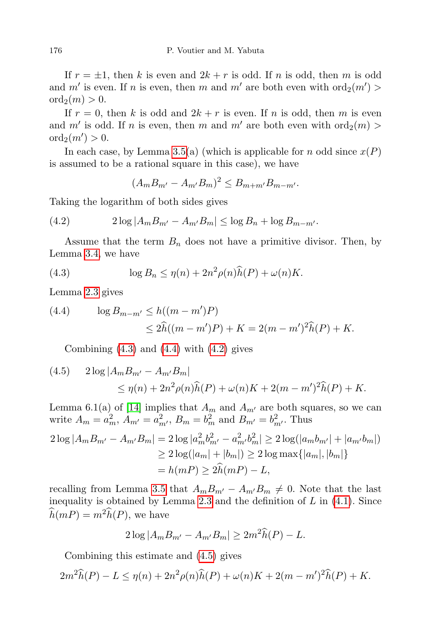If  $r = \pm 1$ , then k is even and  $2k + r$  is odd. If n is odd, then m is odd and m' is even. If n is even, then m and m' are both even with  $\text{ord}_2(m')$  $\operatorname{ord}_2(m) > 0.$ 

If  $r = 0$ , then k is odd and  $2k + r$  is even. If n is odd, then m is even and m' is odd. If n is even, then m and m' are both even with  $\text{ord}_2(m)$  $\mathrm{ord}_2(m') > 0.$ 

In each case, by Lemma [3.5\(](#page-4-6)a) (which is applicable for n odd since  $x(P)$ is assumed to be a rational square in this case), we have

<span id="page-11-2"></span> $(A_m B_{m'} - A_{m'} B_m)^2 \leq B_{m+m'} B_{m-m'}.$ 

Taking the logarithm of both sides gives

(4.2) 
$$
2\log|A_m B_{m'} - A_{m'} B_m| \leq \log B_n + \log B_{m-m'}.
$$

Assume that the term  $B_n$  does not have a primitive divisor. Then, by Lemma [3.4,](#page-4-7) we have

<span id="page-11-0"></span>(4.3) 
$$
\log B_n \le \eta(n) + 2n^2 \rho(n)\widehat{h}(P) + \omega(n)K.
$$

Lemma [2.3](#page-3-0) gives

<span id="page-11-1"></span>(4.4) 
$$
\log B_{m-m'} \le h((m-m')P) \le 2\widehat{h}((m-m')P) + K = 2(m-m')^{2}\widehat{h}(P) + K.
$$

Combining  $(4.3)$  and  $(4.4)$  with  $(4.2)$  gives

<span id="page-11-3"></span>(4.5) 
$$
2 \log |A_m B_{m'} - A_{m'} B_m|
$$
  
\n
$$
\leq \eta(n) + 2n^2 \rho(n) \hat{h}(P) + \omega(n)K + 2(m - m')^2 \hat{h}(P) + K.
$$

Lemma 6.1(a) of [\[14\]](#page-24-11) implies that  $A_m$  and  $A_{m'}$  are both squares, so we can write  $A_m = a_m^2$ ,  $A_{m'} = a_{m'}^2$ ,  $B_m = b_m^2$  and  $B_{m'} = b_{m'}^2$ . Thus

$$
2\log |A_m B_{m'} - A_{m'} B_m| = 2\log |a_m^2 b_{m'}^2 - a_{m'}^2 b_m^2| \ge 2\log(|a_m b_{m'}| + |a_{m'} b_m|)
$$
  
 
$$
\ge 2\log(|a_m| + |b_m|) \ge 2\log \max\{|a_m|, |b_m|\}
$$
  
=  $h(mP) \ge 2\hat{h}(mP) - L$ ,

recalling from Lemma [3.5](#page-4-6) that  $A_m B_{m'} - A_{m'} B_m \neq 0$ . Note that the last inequality is obtained by Lemma [2.3](#page-3-0) and the definition of  $L$  in  $(4.1)$ . Since  $\widehat{h}(mP) = m^2 \widehat{h}(P)$ , we have

$$
2\log |A_m B_{m'} - A_{m'} B_m| \ge 2m^2 \widehat{h}(P) - L.
$$

Combining this estimate and [\(4.5\)](#page-11-3) gives

$$
2m^{2}\widehat{h}(P) - L \leq \eta(n) + 2n^{2}\rho(n)\widehat{h}(P) + \omega(n)K + 2(m - m')^{2}\widehat{h}(P) + K.
$$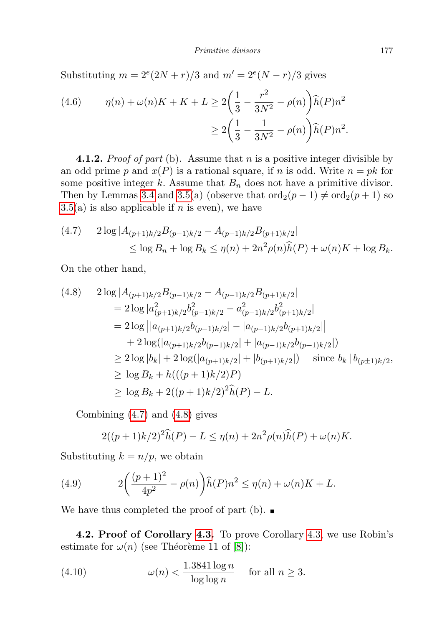Substituting  $m = 2^e(2N+r)/3$  and  $m' = 2^e(N-r)/3$  gives

(4.6) 
$$
\eta(n) + \omega(n)K + K + L \ge 2\left(\frac{1}{3} - \frac{r^2}{3N^2} - \rho(n)\right)\hat{h}(P)n^2
$$

$$
\ge 2\left(\frac{1}{3} - \frac{1}{3N^2} - \rho(n)\right)\hat{h}(P)n^2.
$$

**4.1.2.** *Proof of part* (b). Assume that *n* is a positive integer divisible by an odd prime p and  $x(P)$  is a rational square, if n is odd. Write  $n = pk$  for some positive integer  $k$ . Assume that  $B_n$  does not have a primitive divisor. Then by Lemmas [3.4](#page-4-7) and [3.5\(](#page-4-6)a) (observe that  $\text{ord}_2(p-1) \neq \text{ord}_2(p+1)$  so  $3.5(a)$  $3.5(a)$  is also applicable if n is even), we have

<span id="page-12-0"></span>
$$
(4.7) \quad 2\log|A_{(p+1)k/2}B_{(p-1)k/2} - A_{(p-1)k/2}B_{(p+1)k/2}|
$$
  
\$\leq \log B\_n + \log B\_k \leq \eta(n) + 2n^2 \rho(n)\widehat{h}(P) + \omega(n)K + \log B\_k\$.

On the other hand,

<span id="page-12-1"></span>
$$
(4.8) \quad 2\log |A_{(p+1)k/2}B_{(p-1)k/2} - A_{(p-1)k/2}B_{(p+1)k/2}|
$$
  
\n
$$
= 2\log |a_{(p+1)k/2}^2b_{(p-1)k/2}^2 - a_{(p-1)k/2}^2b_{(p+1)k/2}^2|
$$
  
\n
$$
= 2\log |a_{(p+1)k/2}^2b_{(p-1)k/2}| - |a_{(p-1)k/2}b_{(p+1)k/2}||
$$
  
\n
$$
+ 2\log(|a_{(p+1)k/2}b_{(p-1)k/2}| + |a_{(p-1)k/2}b_{(p+1)k/2}|)
$$
  
\n
$$
\ge 2\log |b_k| + 2\log(|a_{(p+1)k/2}| + |b_{(p+1)k/2}|) \quad \text{since } b_k | b_{(p\pm 1)k/2},
$$
  
\n
$$
\ge \log B_k + h(((p+1)k/2)P)
$$
  
\n
$$
\ge \log B_k + 2((p+1)k/2)^2\hat{h}(P) - L.
$$

Combining [\(4.7\)](#page-12-0) and [\(4.8\)](#page-12-1) gives

$$
2((p+1)k/2)^2\widehat{h}(P) - L \le \eta(n) + 2n^2\rho(n)\widehat{h}(P) + \omega(n)K.
$$

Substituting  $k = n/p$ , we obtain

(4.9) 
$$
2\left(\frac{(p+1)^2}{4p^2} - \rho(n)\right)\hat{h}(P)n^2 \le \eta(n) + \omega(n)K + L.
$$

We have thus completed the proof of part (b).  $\blacksquare$ 

4.2. Proof of Corollary [4.3.](#page-10-0) To prove Corollary [4.3,](#page-10-0) we use Robin's estimate for  $\omega(n)$  (see Théorème 11 of [\[8\]](#page-24-16)):

<span id="page-12-2"></span>(4.10) 
$$
\omega(n) < \frac{1.3841 \log n}{\log \log n} \quad \text{for all } n \ge 3.
$$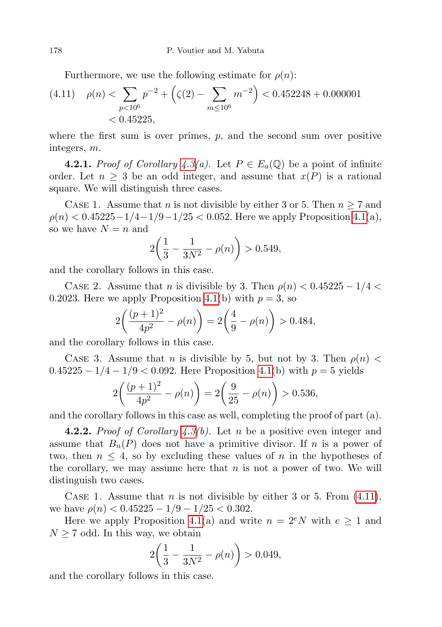Furthermore, we use the following estimate for  $\rho(n)$ :

(4.11) 
$$
\rho(n) < \sum_{p < 10^6} p^{-2} + \left( \zeta(2) - \sum_{m \le 10^6} m^{-2} \right) < 0.452248 + 0.000001
$$
\n
$$
< 0.45225,
$$

where the first sum is over primes,  $p$ , and the second sum over positive integers, m.

**4.2.1.** Proof of Corollary [4.3\(](#page-10-0)a). Let  $P \in E_a(\mathbb{Q})$  be a point of infinite order. Let  $n \geq 3$  be an odd integer, and assume that  $x(P)$  is a rational square. We will distinguish three cases.

CASE 1. Assume that *n* is not divisible by either 3 or 5. Then  $n \geq 7$  and  $\rho(n) < 0.45225 - 1/4 - 1/9 - 1/25 < 0.052$ . Here we apply Proposition [4.1\(](#page-9-1)a), so we have  $N = n$  and

$$
2\left(\frac{1}{3} - \frac{1}{3N^2} - \rho(n)\right) > 0.549,
$$

and the corollary follows in this case.

CASE 2. Assume that n is divisible by 3. Then  $\rho(n) < 0.45225 - 1/4 <$ 0.2023. Here we apply Proposition [4.1\(](#page-9-1)b) with  $p = 3$ , so

$$
2\left(\frac{(p+1)^2}{4p^2} - \rho(n)\right) = 2\left(\frac{4}{9} - \rho(n)\right) > 0.484,
$$

and the corollary follows in this case.

CASE 3. Assume that n is divisible by 5, but not by 3. Then  $\rho(n)$  <  $0.45225 - 1/4 - 1/9 < 0.092$ . Here Proposition [4.1\(](#page-9-1)b) with  $p = 5$  yields

$$
2\left(\frac{(p+1)^2}{4p^2} - \rho(n)\right) = 2\left(\frac{9}{25} - \rho(n)\right) > 0.536,
$$

and the corollary follows in this case as well, completing the proof of part (a).

**4.2.2.** Proof of Corollary  $\angle 4.3(b)$  $\angle 4.3(b)$  $\angle 4.3(b)$ . Let n be a positive even integer and assume that  $B_n(P)$  does not have a primitive divisor. If n is a power of two, then  $n \leq 4$ , so by excluding these values of n in the hypotheses of the corollary, we may assume here that  $n$  is not a power of two. We will distinguish two cases.

CASE 1. Assume that *n* is not divisible by either 3 or 5. From  $(4.11)$ , we have  $\rho(n) < 0.45225 - 1/9 - 1/25 < 0.302$ .

Here we apply Proposition [4.1\(](#page-9-1)a) and write  $n = 2^eN$  with  $e \ge 1$  and  $N \geq 7$  odd. In this way, we obtain

$$
2\left(\frac{1}{3} - \frac{1}{3N^2} - \rho(n)\right) > 0.049,
$$

and the corollary follows in this case.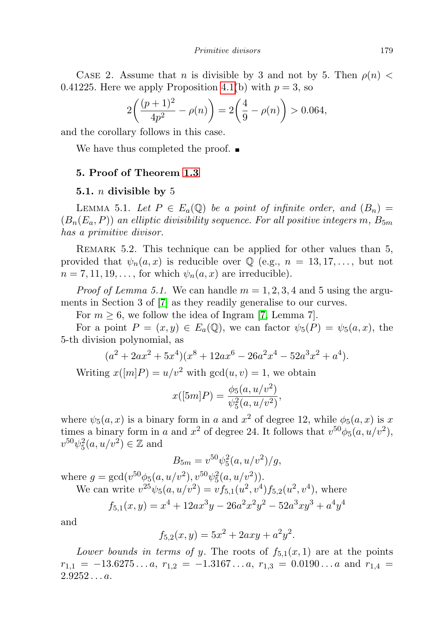Primitive divisors 179

CASE 2. Assume that n is divisible by 3 and not by 5. Then  $\rho(n)$  < 0.41225. Here we apply Proposition [4.1\(](#page-9-1)b) with  $p = 3$ , so

$$
2\left(\frac{(p+1)^2}{4p^2} - \rho(n)\right) = 2\left(\frac{4}{9} - \rho(n)\right) > 0.064,
$$

and the corollary follows in this case.

We have thus completed the proof.  $\blacksquare$ 

## 5. Proof of Theorem [1.3](#page-1-1)

## 5.1. *n* divisible by 5

LEMMA 5.1. Let  $P \in E_a(\mathbb{Q})$  be a point of infinite order, and  $(B_n) =$  $(B_n(E_a, P))$  an elliptic divisibility sequence. For all positive integers m,  $B_{5m}$ has a primitive divisor.

REMARK 5.2. This technique can be applied for other values than 5, provided that  $\psi_n(a,x)$  is reducible over  $\mathbb Q$  (e.g.,  $n = 13, 17, \ldots$ , but not  $n = 7, 11, 19, \ldots$ , for which  $\psi_n(a, x)$  are irreducible).

*Proof of Lemma 5.1.* We can handle  $m = 1, 2, 3, 4$  and 5 using the arguments in Section 3 of [\[7\]](#page-24-10) as they readily generalise to our curves.

For  $m \geq 6$ , we follow the idea of Ingram [\[7,](#page-24-10) Lemma 7].

For a point  $P = (x, y) \in E_a(\mathbb{Q})$ , we can factor  $\psi_5(P) = \psi_5(a, x)$ , the 5-th division polynomial, as

$$
(a2 + 2ax2 + 5x4)(x8 + 12ax6 - 26a2x4 - 52a3x2 + a4).
$$

Writing  $x([m]P) = u/v^2$  with  $gcd(u, v) = 1$ , we obtain

$$
x([5m]P) = \frac{\phi_5(a, u/v^2)}{\psi_5^2(a, u/v^2)},
$$

where  $\psi_5(a,x)$  is a binary form in a and  $x^2$  of degree 12, while  $\phi_5(a,x)$  is x times a binary form in a and  $x^2$  of degree 24. It follows that  $v^{50}\phi_5(a, u/v^2)$ ,  $v^{50}\psi_5^2(a,u/v^2) \in \mathbb{Z}$  and

$$
B_{5m} = v^{50} \psi_5^2(a, u/v^2)/g,
$$

where  $g = \gcd(v^{50}\phi_5(a, u/v^2), v^{50}\psi_5^2(a, u/v^2)).$ We can write  $v^{25}\psi_5(a, u/v^2) = v f_{5,1}(u^2, v^4) f_{5,2}(u^2, v^4)$ , where

$$
f_{5,1}(x,y) = x^4 + 12ax^3y - 26a^2x^2y^2 - 52a^3xy^3 + a^4y^4
$$

and

$$
f_{5,2}(x,y) = 5x^2 + 2axy + a^2y^2.
$$

Lower bounds in terms of y. The roots of  $f_{5,1}(x,1)$  are at the points  $r_{1,1} = -13.6275...a, r_{1,2} = -1.3167...a, r_{1,3} = 0.0190...a$  and  $r_{1,4} =$  $2.9252...a.$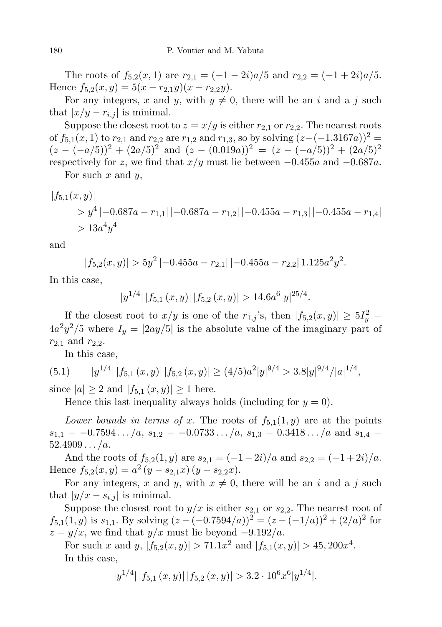The roots of  $f_{5,2}(x,1)$  are  $r_{2,1} = (-1-2i)a/5$  and  $r_{2,2} = (-1+2i)a/5$ . Hence  $f_{5,2}(x,y) = 5(x - r_{2,1}y)(x - r_{2,2}y)$ .

For any integers, x and y, with  $y \neq 0$ , there will be an i and a j such that  $|x/y - r_{i,j}|$  is minimal.

Suppose the closest root to  $z = x/y$  is either  $r_{2,1}$  or  $r_{2,2}$ . The nearest roots of  $f_{5,1}(x, 1)$  to  $r_{2,1}$  and  $r_{2,2}$  are  $r_{1,2}$  and  $r_{1,3}$ , so by solving  $(z-(-1.3167a))^2$  =  $(z - (-a/5))^2 + (2a/5)^2$  and  $(z - (0.019a))^2 = (z - (-a/5))^2 + (2a/5)^2$ respectively for z, we find that  $x/y$  must lie between  $-0.455a$  and  $-0.687a$ .

For such x and  $y$ ,

$$
|f_{5,1}(x,y)|
$$
  
>  $y^4$   $|-0.687a - r_{1,1}|$   $|-0.687a - r_{1,2}|$   $|-0.455a - r_{1,3}|$   $|-0.455a - r_{1,4}|$   
>  $13a^4y^4$ 

and

$$
|f_{5,2}(x,y)| > 5y^2 \, |-0.455a - r_{2,1}| \, |-0.455a - r_{2,2}| \, 1.125a^2y^2.
$$

In this case,

$$
|y^{1/4}| |f_{5,1}(x,y)| |f_{5,2}(x,y)| > 14.6a^{6}|y|^{25/4}.
$$

If the closest root to  $x/y$  is one of the  $r_{1,j}$ 's, then  $|f_{5,2}(x,y)| \geq 5I_y^2 =$  $4a^2y^2/5$  where  $I_y = |2ay/5|$  is the absolute value of the imaginary part of  $r_{2,1}$  and  $r_{2,2}$ .

<span id="page-15-0"></span>In this case,

$$
(5.1) \t |y^{1/4}| |f_{5,1}(x,y)| |f_{5,2}(x,y)| \ge (4/5)a^2|y|^{9/4} > 3.8|y|^{9/4}/|a|^{1/4},
$$

since  $|a| \ge 2$  and  $|f_{5,1}(x,y)| \ge 1$  here.

Hence this last inequality always holds (including for  $y = 0$ ).

Lower bounds in terms of x. The roots of  $f_{5,1}(1, y)$  are at the points  $s_{1,1} = -0.7594... / a$ ,  $s_{1,2} = -0.0733... / a$ ,  $s_{1,3} = 0.3418... / a$  and  $s_{1,4} =$  $52.4909.../a.$ 

And the roots of  $f_{5,2}(1, y)$  are  $s_{2,1} = \frac{(-1 - 2i)}{a}$  and  $s_{2,2} = \frac{(-1 + 2i)}{a}$ . Hence  $f_{5,2}(x,y) = a^2 (y - s_{2,1}x) (y - s_{2,2}x)$ .

For any integers, x and y, with  $x \neq 0$ , there will be an i and a j such that  $|y/x - s_{i,j}|$  is minimal.

Suppose the closest root to  $y/x$  is either  $s_{2,1}$  or  $s_{2,2}$ . The nearest root of  $f_{5,1}(1,y)$  is  $s_{1,1}$ . By solving  $(z - (-0.7594/a))^2 = (z - (-1/a))^2 + (2/a)^2$  for  $z = y/x$ , we find that  $y/x$  must lie beyond  $-9.192/a$ .

For such x and y,  $|f_{5,2}(x,y)| > 71.1x^2$  and  $|f_{5,1}(x,y)| > 45,200x^4$ . In this case,

$$
|y^{1/4}| |f_{5,1}(x,y)| |f_{5,2}(x,y)| > 3.2 \cdot 10^6 x^6 |y^{1/4}|.
$$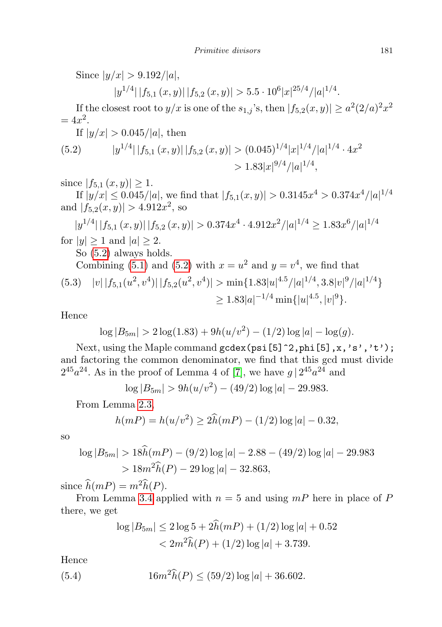Since  $|y/x| > 9.192/|a|$ ,

 $|y^{1/4}| |f_{5,1}(x,y)| |f_{5,2}(x,y)| > 5.5 \cdot 10^6 |x|^{25/4} / |a|^{1/4}.$ 

If the closest root to  $y/x$  is one of the  $s_{1,j}$ 's, then  $|f_{5,2}(x,y)| \geq a^2(2/a)^2x^2$  $= 4x^2$ .

If  $|y/x| > 0.045/|a|$ , then

<span id="page-16-0"></span>(5.2) 
$$
|y^{1/4}| |f_{5,1}(x,y)| |f_{5,2}(x,y)| > (0.045)^{1/4} |x|^{1/4} / |a|^{1/4} \cdot 4x^2
$$

$$
> 1.83 |x|^{9/4} / |a|^{1/4},
$$

since  $|f_{5,1}(x,y)| \geq 1$ .

If  $|y/x| \le 0.045/|a|$ , we find that  $|f_{5,1}(x,y)| > 0.3145x^4 > 0.374x^4/|a|^{1/4}$ and  $|f_{5,2}(x,y)| > 4.912x^2$ , so

$$
|y^{1/4}| |f_{5,1}(x,y)| |f_{5,2}(x,y)| > 0.374x^4 \cdot 4.912x^2/|a|^{1/4} \ge 1.83x^6/|a|^{1/4}
$$

for  $|y| \geq 1$  and  $|a| \geq 2$ .

So [\(5.2\)](#page-16-0) always holds.

Combining (5.1) and (5.2) with 
$$
x = u^2
$$
 and  $y = v^4$ , we find that  
\n(5.3)  $|v| |f_{5,1}(u^2, v^4)| |f_{5,2}(u^2, v^4)| > \min\{1.83|u|^{4.5}/|a|^{1/4}, 3.8|v|^9/|a|^{1/4}\}\$   
\n $\ge 1.83|a|^{-1/4} \min\{|u|^{4.5}, |v|^9\}.$ 

Hence

$$
\log |B_{5m}| > 2 \log(1.83) + 9h(u/v^2) - (1/2) \log |a| - \log(g).
$$

Next, using the Maple command gcdex(psi[5]^2,phi[5],x,'s','t'); and factoring the common denominator, we find that this gcd must divide  $2^{45}a^{24}$ . As in the proof of Lemma 4 of [\[7\]](#page-24-10), we have  $g \mid 2^{45}a^{24}$  and

$$
\log |B_{5m}| > 9h(u/v^2) - (49/2)\log |a| - 29.983.
$$

From Lemma [2.3,](#page-3-0)

$$
h(mP) = h(u/v^2) \ge 2\widehat{h}(mP) - (1/2)\log|a| - 0.32,
$$

so

$$
\log |B_{5m}| > 18\hat{h}(mP) - (9/2) \log |a| - 2.88 - (49/2) \log |a| - 29.983
$$
  
> 18m<sup>2</sup> $\hat{h}(P) - 29 \log |a| - 32.863$ ,

since  $\widehat{h}(mP) = m^2 \widehat{h}(P)$ .

From Lemma [3.4](#page-4-7) applied with  $n = 5$  and using  $mP$  here in place of P there, we get

<span id="page-16-1"></span>
$$
\log |B_{5m}| \le 2 \log 5 + 2h(mP) + (1/2) \log |a| + 0.52
$$
  
< 
$$
< 2m^2 \hat{h}(P) + (1/2) \log |a| + 3.739.
$$

Hence

(5.4) 
$$
16m^2\widehat{h}(P) \le (59/2)\log|a| + 36.602.
$$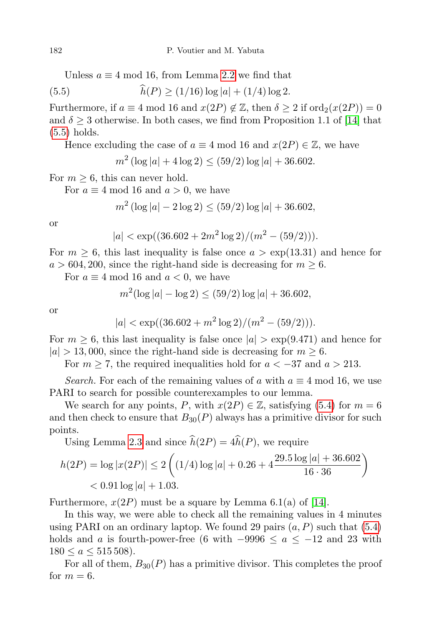Unless  $a \equiv 4 \mod 16$ , from Lemma [2.2](#page-3-1) we find that

(5.5) 
$$
h(P) \ge (1/16) \log |a| + (1/4) \log 2.
$$

Furthermore, if  $a \equiv 4 \mod 16$  and  $x(2P) \notin \mathbb{Z}$ , then  $\delta \geq 2$  if  $\text{ord}_2(x(2P)) = 0$ and  $\delta \geq 3$  otherwise. In both cases, we find from Proposition 1.1 of [\[14\]](#page-24-11) that [\(5.5\)](#page-17-0) holds.

Hence excluding the case of  $a \equiv 4 \mod 16$  and  $x(2P) \in \mathbb{Z}$ , we have

<span id="page-17-0"></span>
$$
m^2 \left(\log |a| + 4\log 2\right) \le (59/2) \log |a| + 36.602.
$$

For  $m \geq 6$ , this can never hold.

For  $a \equiv 4 \mod 16$  and  $a > 0$ , we have

$$
m^2 (\log |a| - 2 \log 2) \le (59/2) \log |a| + 36.602,
$$

or

$$
|a| < \exp((36.602 + 2m^2 \log 2)/(m^2 - (59/2))).
$$

For  $m \geq 6$ , this last inequality is false once  $a > \exp(13.31)$  and hence for  $a > 604, 200$ , since the right-hand side is decreasing for  $m \geq 6$ .

For  $a \equiv 4 \mod 16$  and  $a < 0$ , we have

$$
m^{2}(\log|a| - \log 2) \le (59/2)\log|a| + 36.602,
$$

or

$$
|a| < \exp((36.602 + m^2 \log 2)/(m^2 - (59/2))).
$$

For  $m \geq 6$ , this last inequality is false once  $|a| > \exp(9.471)$  and hence for  $|a| > 13,000$ , since the right-hand side is decreasing for  $m \geq 6$ .

For  $m \geq 7$ , the required inequalities hold for  $a < -37$  and  $a > 213$ .

Search. For each of the remaining values of a with  $a \equiv 4 \mod 16$ , we use PARI to search for possible counterexamples to our lemma.

We search for any points, P, with  $x(2P) \in \mathbb{Z}$ , satisfying [\(5.4\)](#page-16-1) for  $m = 6$ and then check to ensure that  $B_{30}(P)$  always has a primitive divisor for such points.

Using Lemma [2.3](#page-3-0) and since  $\hat{h}(2P) = 4\hat{h}(P)$ , we require

$$
h(2P) = \log |x(2P)| \le 2\left((1/4)\log|a| + 0.26 + 4\frac{29.5\log|a| + 36.602}{16 \cdot 36}\right)
$$
  
< 0.91\log|a| + 1.03.

Furthermore,  $x(2P)$  must be a square by Lemma 6.1(a) of [\[14\]](#page-24-11).

In this way, we were able to check all the remaining values in 4 minutes using PARI on an ordinary laptop. We found 29 pairs  $(a, P)$  such that  $(5.4)$ holds and a is fourth-power-free (6 with  $-9996 \le a \le -12$  and 23 with  $180 < a < 515508$ ).

For all of them,  $B_{30}(P)$  has a primitive divisor. This completes the proof for  $m = 6$ .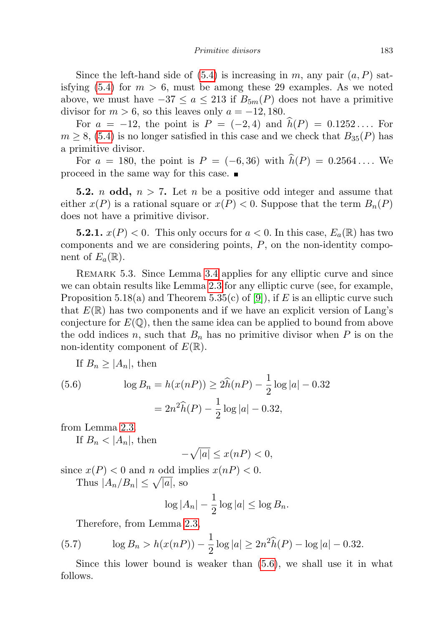Since the left-hand side of  $(5.4)$  is increasing in m, any pair  $(a, P)$  sat-isfying [\(5.4\)](#page-16-1) for  $m > 6$ , must be among these 29 examples. As we noted above, we must have  $-37 \le a \le 213$  if  $B_{5m}(P)$  does not have a primitive divisor for  $m > 6$ , so this leaves only  $a = -12, 180$ .

For  $a = -12$ , the point is  $P = (-2, 4)$  and  $\hat{h}(P) = 0.1252...$  For  $m \geq 8$ , [\(5.4\)](#page-16-1) is no longer satisfied in this case and we check that  $B_{35}(P)$  has a primitive divisor.

For  $a = 180$ , the point is  $P = (-6, 36)$  with  $\hat{h}(P) = 0.2564...$  We proceed in the same way for this case.

**5.2.** *n* **odd**,  $n > 7$ . Let *n* be a positive odd integer and assume that either  $x(P)$  is a rational square or  $x(P) < 0$ . Suppose that the term  $B_n(P)$ does not have a primitive divisor.

**5.2.1.**  $x(P) < 0$ . This only occurs for  $a < 0$ . In this case,  $E_a(\mathbb{R})$  has two components and we are considering points,  $P$ , on the non-identity component of  $E_a(\mathbb{R})$ .

REMARK 5.3. Since Lemma [3.4](#page-4-7) applies for any elliptic curve and since we can obtain results like Lemma [2.3](#page-3-0) for any elliptic curve (see, for example, Proposition 5.18(a) and Theorem 5.35(c) of [\[9\]](#page-24-17)), if E is an elliptic curve such that  $E(\mathbb{R})$  has two components and if we have an explicit version of Lang's conjecture for  $E(\mathbb{Q})$ , then the same idea can be applied to bound from above the odd indices n, such that  $B_n$  has no primitive divisor when P is on the non-identity component of  $E(\mathbb{R})$ .

If  $B_n \geq |A_n|$ , then

<span id="page-18-0"></span>(5.6) 
$$
\log B_n = h(x(nP)) \ge 2\hat{h}(nP) - \frac{1}{2}\log|a| - 0.32
$$

$$
= 2n^2\hat{h}(P) - \frac{1}{2}\log|a| - 0.32,
$$

from Lemma [2.3.](#page-3-0)

If  $B_n < |A_n|$ , then

$$
-\sqrt{|a|} \le x(nP) < 0,
$$

since  $x(P) < 0$  and n odd implies  $x(nP) < 0$ . Thus  $|A_n/B_n| \leq \sqrt{|a|}$ , so

$$
\log |A_n| - \frac{1}{2} \log |a| \le \log B_n.
$$

Therefore, from Lemma [2.3,](#page-3-0)

(5.7) 
$$
\log B_n > h(x(nP)) - \frac{1}{2}\log|a| \ge 2n^2\widehat{h}(P) - \log|a| - 0.32.
$$

Since this lower bound is weaker than [\(5.6\)](#page-18-0), we shall use it in what follows.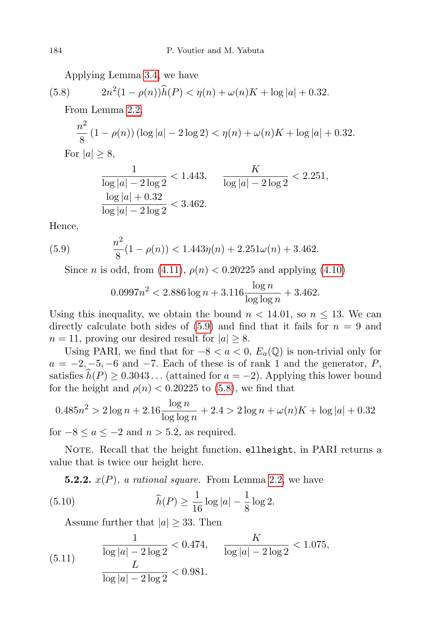<span id="page-19-1"></span>Applying Lemma [3.4,](#page-4-7) we have

(5.8) 
$$
2n^2(1-\rho(n))\widehat{h}(P) < \eta(n) + \omega(n)K + \log|a| + 0.32.
$$

From Lemma [2.2,](#page-3-1)

$$
\frac{n^2}{8}(1 - \rho(n))(\log|a| - 2\log 2) < \eta(n) + \omega(n)K + \log|a| + 0.32.
$$
\nFor  $|a| \geq 8$ ,

$$
\frac{1}{\log|a| - 2\log 2} < 1.443, \qquad \frac{K}{\log|a| - 2\log 2} < 2.251, \\
\frac{\log|a| + 0.32}{\log|a| - 2\log 2} < 3.462.
$$

Hence,

(5.9) 
$$
\frac{n^2}{8}(1-\rho(n)) < 1.443\eta(n) + 2.251\omega(n) + 3.462.
$$

Since *n* is odd, from [\(4.11\)](#page-12-2),  $\rho(n) < 0.20225$  and applying [\(4.10\)](#page-12-2)

<span id="page-19-0"></span>
$$
0.0997n^2 < 2.886 \log n + 3.116 \frac{\log n}{\log \log n} + 3.462.
$$

Using this inequality, we obtain the bound  $n < 14.01$ , so  $n \leq 13$ . We can directly calculate both sides of  $(5.9)$  and find that it fails for  $n = 9$  and  $n = 11$ , proving our desired result for  $|a| \geq 8$ .

Using PARI, we find that for  $-8 < a < 0$ ,  $E_a(\mathbb{Q})$  is non-trivial only for  $a = -2, -5, -6$  and  $-7$ . Each of these is of rank 1 and the generator, P, satisfies  $\widehat{h}(P) \geq 0.3043...$  (attained for  $a = -2$ ). Applying this lower bound for the height and  $\rho(n) < 0.20225$  to [\(5.8\)](#page-19-1), we find that

$$
0.485n2 > 2\log n + 2.16\frac{\log n}{\log \log n} + 2.4 > 2\log n + \omega(n)K + \log |a| + 0.32
$$

for  $-8 \le a \le -2$  and  $n > 5.2$ , as required.

NOTE. Recall that the height function, ellheight, in PARI returns a value that is twice our height here.

<span id="page-19-2"></span>**5.2.2.**  $x(P)$ , a rational square. From Lemma [2.2,](#page-3-1) we have

(5.10) 
$$
\widehat{h}(P) \ge \frac{1}{16} \log |a| - \frac{1}{8} \log 2.
$$

Assume further that  $|a| \geq 33$ . Then

<span id="page-19-3"></span>(5.11) 
$$
\frac{1}{\log|a| - 2\log 2} < 0.474, \quad \frac{K}{\log|a| - 2\log 2} < 1.075,
$$

$$
\frac{L}{\log|a| - 2\log 2} < 0.981.
$$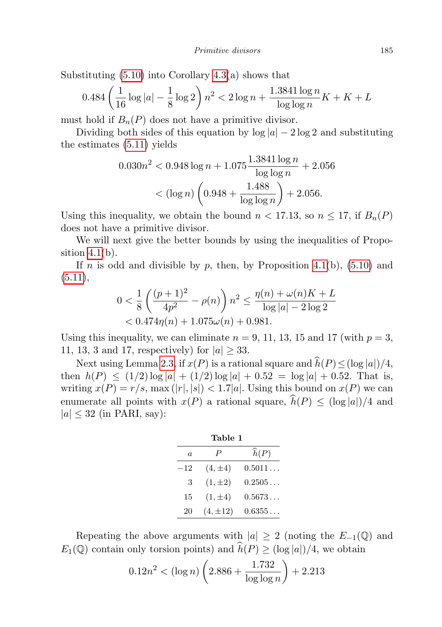Substituting  $(5.10)$  into Corollary  $4.3(a)$  shows that

$$
0.484\left(\frac{1}{16}\log|a| - \frac{1}{8}\log 2\right)n^2 < 2\log n + \frac{1.3841\log n}{\log\log n}K + K + L
$$

must hold if  $B_n(P)$  does not have a primitive divisor.

Dividing both sides of this equation by  $log |a| - 2 log 2$  and substituting the estimates [\(5.11\)](#page-19-3) yields

$$
0.030n2 < 0.948 \log n + 1.075 \frac{1.3841 \log n}{\log \log n} + 2.056
$$

$$
< (\log n) \left( 0.948 + \frac{1.488}{\log \log n} \right) + 2.056.
$$

Using this inequality, we obtain the bound  $n < 17.13$ , so  $n \leq 17$ , if  $B_n(P)$ does not have a primitive divisor.

We will next give the better bounds by using the inequalities of Proposition  $4.1(b)$ .

If n is odd and divisible by p, then, by Proposition [4.1\(](#page-9-1)b),  $(5.10)$  and  $(5.11),$  $(5.11),$ 

$$
0 < \frac{1}{8} \left( \frac{(p+1)^2}{4p^2} - \rho(n) \right) n^2 \le \frac{\eta(n) + \omega(n)K + L}{\log|a| - 2\log 2} < 0.474\eta(n) + 1.075\omega(n) + 0.981.
$$

Using this inequality, we can eliminate  $n = 9, 11, 13, 15$  and 17 (with  $p = 3$ , 11, 13, 3 and 17, respectively) for  $|a| \geq 33$ .

Next using Lemma [2.3,](#page-3-0) if  $x(P)$  is a rational square and  $\widehat{h}(P) \leq (\log |a|)/4$ , then  $h(P) \leq (1/2) \log |a| + (1/2) \log |a| + 0.52 = \log |a| + 0.52$ . That is, writing  $x(P) = r/s$ , max  $(|r|, |s|) < 1.7|a|$ . Using this bound on  $x(P)$  we can enumerate all points with  $x(P)$  a rational square,  $\hat{h}(P) \leq (\log |a|)/4$  and  $|a| \leq 32$  (in PARI, say):

| Table 1 |               |                  |
|---------|---------------|------------------|
| a.      | Ρ             | $\widehat{h}(P)$ |
| $-12$   | $(4, \pm 4)$  | 0.5011           |
| 3       | $(1, \pm 2)$  | 0.2505           |
| 15      | $(1, \pm 4)$  | $0.5673\dots$    |
| 20      | $(4, \pm 12)$ | 0.6355           |

Repeating the above arguments with  $|a| \geq 2$  (noting the  $E_{-1}(\mathbb{Q})$  and  $E_1(\mathbb{Q})$  contain only torsion points) and  $\hat{h}(P) \geq (\log |a|)/4$ , we obtain

$$
0.12n^2 < (\log n) \left( 2.886 + \frac{1.732}{\log \log n} \right) + 2.213
$$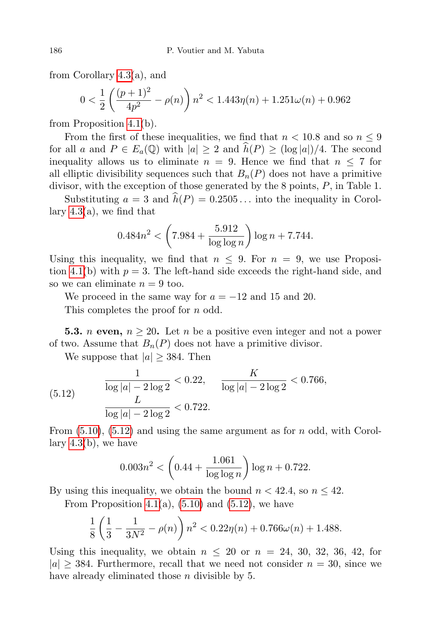from Corollary [4.3\(](#page-10-0)a), and

$$
0 < \frac{1}{2} \left( \frac{(p+1)^2}{4p^2} - \rho(n) \right) n^2 < 1.443\eta(n) + 1.251\omega(n) + 0.962
$$

from Proposition [4.1\(](#page-9-1)b).

From the first of these inequalities, we find that  $n < 10.8$  and so  $n \leq 9$ for all a and  $P \in E_a(\mathbb{Q})$  with  $|a| \geq 2$  and  $\widehat{h}(P) \geq (\log |a|)/4$ . The second inequality allows us to eliminate  $n = 9$ . Hence we find that  $n \leq 7$  for all elliptic divisibility sequences such that  $B_n(P)$  does not have a primitive divisor, with the exception of those generated by the 8 points, P, in Table 1.

Substituting  $a = 3$  and  $\hat{h}(P) = 0.2505...$  into the inequality in Corollary  $4.3(a)$ , we find that

$$
0.484n^2 < \left(7.984 + \frac{5.912}{\log \log n}\right) \log n + 7.744.
$$

Using this inequality, we find that  $n \leq 9$ . For  $n = 9$ , we use Proposi-tion [4.1\(](#page-9-1)b) with  $p = 3$ . The left-hand side exceeds the right-hand side, and so we can eliminate  $n = 9$  too.

We proceed in the same way for  $a = -12$  and 15 and 20.

This completes the proof for *n* odd.

**5.3.** *n* even,  $n \geq 20$ . Let *n* be a positive even integer and not a power of two. Assume that  $B_n(P)$  does not have a primitive divisor.

We suppose that  $|a| \geq 384$ . Then

<span id="page-21-0"></span>(5.12) 
$$
\frac{1}{\log |a| - 2 \log 2} < 0.22, \quad \frac{K}{\log |a| - 2 \log 2} < 0.766,
$$

$$
\frac{L}{\log |a| - 2 \log 2} < 0.722.
$$

From  $(5.10)$ ,  $(5.12)$  and using the same argument as for n odd, with Corollary [4.3\(](#page-10-0)b), we have

$$
0.003n^2 < \left(0.44 + \frac{1.061}{\log \log n}\right) \log n + 0.722.
$$

By using this inequality, we obtain the bound  $n < 42.4$ , so  $n \leq 42$ .

From Proposition [4.1\(](#page-9-1)a),  $(5.10)$  and  $(5.12)$ , we have

$$
\frac{1}{8}\left(\frac{1}{3}-\frac{1}{3N^2}-\rho(n)\right)n^2 < 0.22\eta(n) + 0.766\omega(n) + 1.488.
$$

Using this inequality, we obtain  $n \leq 20$  or  $n = 24, 30, 32, 36, 42,$  for  $|a| \geq 384$ . Furthermore, recall that we need not consider  $n = 30$ , since we have already eliminated those *n* divisible by 5.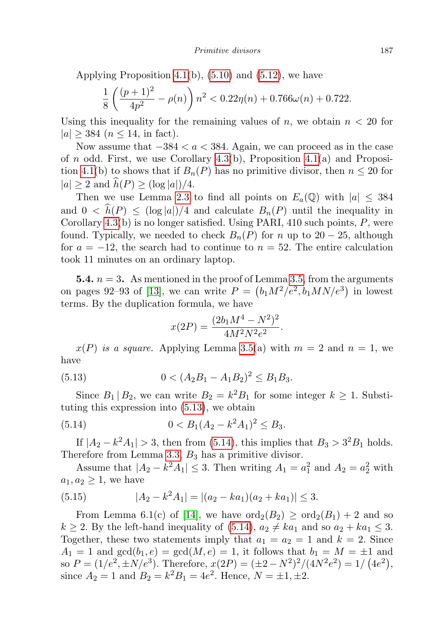Applying Proposition [4.1\(](#page-9-1)b),  $(5.10)$  and  $(5.12)$ , we have

$$
\frac{1}{8}\left(\frac{(p+1)^2}{4p^2}-\rho(n)\right)n^2 < 0.22\eta(n) + 0.766\omega(n) + 0.722.
$$

Using this inequality for the remaining values of n, we obtain  $n < 20$  for  $|a| \geq 384$  ( $n \leq 14$ , in fact).

Now assume that  $-384 < a < 384$ . Again, we can proceed as in the case of n odd. First, we use Corollary [4.3\(](#page-10-0)b), Proposition [4.1\(](#page-9-1)a) and Proposi-tion [4.1\(](#page-9-1)b) to shows that if  $B_n(P)$  has no primitive divisor, then  $n \leq 20$  for  $|a| \geq 2$  and  $\widehat{h}(P) \geq (\log |a|)/4$ .

Then we use Lemma [2.3](#page-3-0) to find all points on  $E_a(\mathbb{Q})$  with  $|a| \leq 384$ and  $0 < \hat{h}(P) \leq (\log |a|)/4$  and calculate  $B_n(P)$  until the inequality in Corollary [4.3\(](#page-10-0)b) is no longer satisfied. Using PARI, 410 such points, P, were found. Typically, we needed to check  $B_n(P)$  for n up to 20 – 25, although for  $a = -12$ , the search had to continue to  $n = 52$ . The entire calculation took 11 minutes on an ordinary laptop.

**5.4.**  $n = 3$ . As mentioned in the proof of Lemma [3.5,](#page-4-6) from the arguments on pages 92–93 of [\[13\]](#page-24-14), we can write  $P = (b_1M^2/e^2, b_1MN/e^3)$  in lowest terms. By the duplication formula, we have

<span id="page-22-1"></span><span id="page-22-0"></span>
$$
x(2P) = \frac{(2b_1M^4 - N^2)^2}{4M^2N^2e^2}.
$$

 $x(P)$  is a square. Applying Lemma [3.5\(](#page-4-6)a) with  $m = 2$  and  $n = 1$ , we have

(5.13) 
$$
0 < (A_2B_1 - A_1B_2)^2 \le B_1B_3.
$$

Since  $B_1 | B_2$ , we can write  $B_2 = k^2 B_1$  for some integer  $k \geq 1$ . Substituting this expression into [\(5.13\)](#page-22-0), we obtain

$$
(5.14) \t\t 0 < B_1(A_2 - k^2 A_1)^2 \le B_3.
$$

If  $|A_2 - k^2 A_1| > 3$ , then from [\(5.14\)](#page-22-1), this implies that  $B_3 > 3^2 B_1$  holds. Therefore from Lemma [3.3,](#page-4-8)  $B_3$  has a primitive divisor.

Assume that  $|A_2 - k^2 A_1| \leq 3$ . Then writing  $A_1 = a_1^2$  and  $A_2 = a_2^2$  with  $a_1, a_2 \geq 1$ , we have

(5.15) 
$$
|A_2 - k^2 A_1| = |(a_2 - ka_1)(a_2 + ka_1)| \le 3.
$$

From Lemma 6.1(c) of [\[14\]](#page-24-11), we have  $\text{ord}_2(B_2) \geq \text{ord}_2(B_1) + 2$  and so  $k \geq 2$ . By the left-hand inequality of [\(5.14\)](#page-22-1),  $a_2 \neq ka_1$  and so  $a_2 + ka_1 \leq 3$ . Together, these two statements imply that  $a_1 = a_2 = 1$  and  $k = 2$ . Since  $A_1 = 1$  and  $gcd(b_1, e) = gcd(M, e) = 1$ , it follows that  $b_1 = M = \pm 1$  and so  $P = (1/e^2, \pm N/e^3)$ . Therefore,  $x(2P) = (\pm 2 - N^2)^2/(4N^2e^2) = 1/(4e^2)$ , since  $A_2 = 1$  and  $B_2 = k^2 B_1 = 4e^2$ . Hence,  $N = \pm 1, \pm 2$ .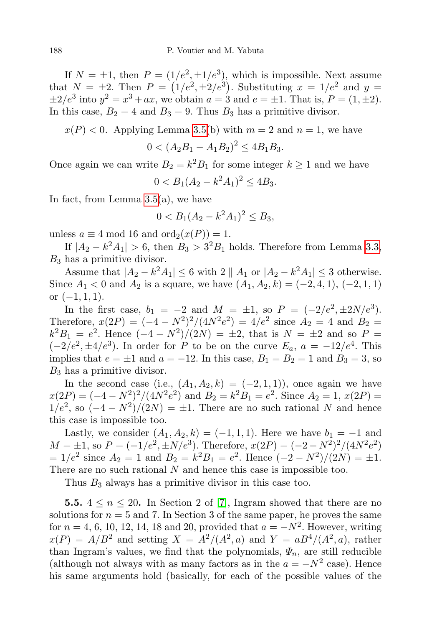If  $N = \pm 1$ , then  $P = (1/e^2, \pm 1/e^3)$ , which is impossible. Next assume that  $N = \pm 2$ . Then  $P = (1/e^2, \pm 2/e^3)$ . Substituting  $x = 1/e^2$  and  $y =$  $\pm 2/e^3$  into  $y^2 = x^3 + ax$ , we obtain  $a = 3$  and  $e = \pm 1$ . That is,  $P = (1, \pm 2)$ . In this case,  $B_2 = 4$  and  $B_3 = 9$ . Thus  $B_3$  has a primitive divisor.

$$
x(P) < 0
$$
. Applying Lemma 3.5(b) with  $m = 2$  and  $n = 1$ , we have

$$
0 < (A_2B_1 - A_1B_2)^2 \le 4B_1B_3.
$$

Once again we can write  $B_2 = k^2 B_1$  for some integer  $k \ge 1$  and we have

$$
0 < B_1(A_2 - k^2 A_1)^2 \le 4B_3.
$$

In fact, from Lemma [3.5\(](#page-4-6)a), we have

$$
0 < B_1(A_2 - k^2 A_1)^2 \le B_3,
$$

unless  $a \equiv 4 \mod 16$  and  $\text{ord}_2(x(P)) = 1$ .

If  $|A_2 - k^2 A_1| > 6$ , then  $B_3 > 3^2 B_1$  holds. Therefore from Lemma [3.3,](#page-4-8)  $B_3$  has a primitive divisor.

Assume that  $|A_2 - k^2 A_1| \leq 6$  with  $2 || A_1$  or  $|A_2 - k^2 A_1| \leq 3$  otherwise. Since  $A_1 < 0$  and  $A_2$  is a square, we have  $(A_1, A_2, k) = (-2, 4, 1), (-2, 1, 1)$ or  $(-1, 1, 1)$ .

In the first case,  $b_1 = -2$  and  $M = \pm 1$ , so  $P = (-2/e^2, \pm 2N/e^3)$ . Therefore,  $x(2P) = (-4 - N^2)^2/(4N^2e^2) = 4/e^2$  since  $A_2 = 4$  and  $B_2 =$  $k^2B_1 = e^2$ . Hence  $(-4 - N^2)/(2N) = \pm 2$ , that is  $N = \pm 2$  and so  $P =$  $(-2/e^2, \pm 4/e^3)$ . In order for P to be on the curve  $E_a$ ,  $a = -12/e^4$ . This implies that  $e = \pm 1$  and  $a = -12$ . In this case,  $B_1 = B_2 = 1$  and  $B_3 = 3$ , so  $B_3$  has a primitive divisor.

In the second case (i.e.,  $(A_1, A_2, k) = (-2, 1, 1)$ ), once again we have  $x(2P) = (-4 - N^2)^2/(4N^2e^2)$  and  $B_2 = k^2B_1 = e^2$ . Since  $A_2 = 1$ ,  $x(2P) =$  $1/e^2$ , so  $(-4 - N^2)/(2N) = \pm 1$ . There are no such rational N and hence this case is impossible too.

Lastly, we consider  $(A_1, A_2, k) = (-1, 1, 1)$ . Here we have  $b_1 = -1$  and  $M = \pm 1$ , so  $P = (-1/e^2, \pm N/e^3)$ . Therefore,  $x(2P) = (-2 - N^2)^2/(4N^2e^2)$  $= 1/e^2$  since  $A_2 = 1$  and  $B_2 = k^2 B_1 = e^2$ . Hence  $(-2 - N^2)/(2N) = \pm 1$ . There are no such rational N and hence this case is impossible too.

Thus  $B_3$  always has a primitive divisor in this case too.

**5.5.**  $4 \leq n \leq 20$ . In Section 2 of [\[7\]](#page-24-10), Ingram showed that there are no solutions for  $n = 5$  and 7. In Section 3 of the same paper, he proves the same for  $n = 4, 6, 10, 12, 14, 18$  and 20, provided that  $a = -N^2$ . However, writing  $x(P) = A/B^2$  and setting  $X = A^2/(A^2, a)$  and  $Y = aB^4/(A^2, a)$ , rather than Ingram's values, we find that the polynomials,  $\Psi_n$ , are still reducible (although not always with as many factors as in the  $a = -N^2$  case). Hence his same arguments hold (basically, for each of the possible values of the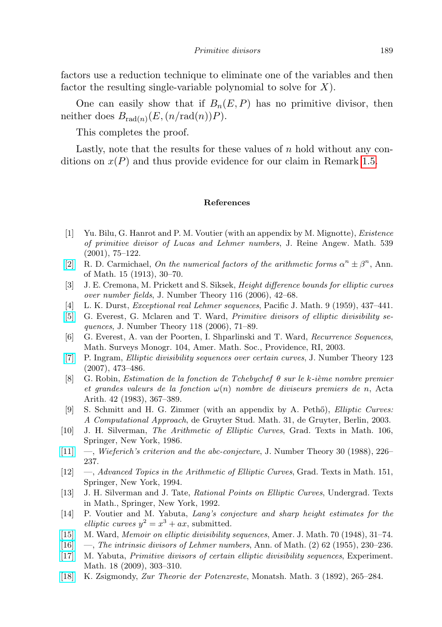factors use a reduction technique to eliminate one of the variables and then factor the resulting single-variable polynomial to solve for  $X$ ).

One can easily show that if  $B_n(E, P)$  has no primitive divisor, then neither does  $B_{rad(n)}(E, (n/\text{rad}(n))P)$ .

This completes the proof.

Lastly, note that the results for these values of  $n$  hold without any conditions on  $x(P)$  and thus provide evidence for our claim in Remark [1.5.](#page-1-2)

## References

- <span id="page-24-4"></span>[1] Yu. Bilu, G. Hanrot and P. M. Voutier (with an appendix by M. Mignotte), Existence of primitive divisor of Lucas and Lehmer numbers, J. Reine Angew. Math. 539 (2001), 75–122.
- <span id="page-24-1"></span>[\[2\]](http://dx.doi.org/10.2307/1967797) R. D. Carmichael, On the numerical factors of the arithmetic forms  $\alpha^n \pm \beta^n$ , Ann. of Math. 15 (1913), 30–70.
- <span id="page-24-13"></span>[3] J. E. Cremona, M. Prickett and S. Siksek, Height difference bounds for elliptic curves over number fields, J. Number Theory 116 (2006), 42–68.
- <span id="page-24-3"></span>[4] L. K. Durst, Exceptional real Lehmer sequences, Pacific J. Math. 9 (1959), 437–441.
- <span id="page-24-9"></span>[\[5\]](http://dx.doi.org/10.1016/j.jnt.2005.08.002) G. Everest, G. Mclaren and T. Ward, Primitive divisors of elliptic divisibility sequences, J. Number Theory 118 (2006), 71–89.
- <span id="page-24-5"></span>[6] G. Everest, A. van der Poorten, I. Shparlinski and T. Ward, Recurrence Sequences, Math. Surveys Monogr. 104, Amer. Math. Soc., Providence, RI, 2003.
- <span id="page-24-10"></span>[\[7\]](http://dx.doi.org/10.1016/j.jnt.2006.08.007) P. Ingram, Elliptic divisibility sequences over certain curves, J. Number Theory 123 (2007), 473–486.
- <span id="page-24-16"></span>[8] G. Robin, Estimation de la fonction de Tchebychef  $\theta$  sur le k-ième nombre premier et grandes valeurs de la fonction  $\omega(n)$  nombre de diviseurs premiers de n, Acta Arith. 42 (1983), 367–389.
- <span id="page-24-17"></span>[9] S. Schmitt and H. G. Zimmer (with an appendix by A. Pethő), *Elliptic Curves:* A Computational Approach, de Gruyter Stud. Math. 31, de Gruyter, Berlin, 2003.
- <span id="page-24-6"></span>[10] J. H. Silverman, The Arithmetic of Elliptic Curves, Grad. Texts in Math. 106, Springer, New York, 1986.
- <span id="page-24-8"></span>[\[11\]](http://dx.doi.org/10.1016/0022-314X(88)90019-4) —, Wieferich's criterion and the abc-conjecture, J. Number Theory 30 (1988), 226– 237.
- <span id="page-24-12"></span>[12] —, Advanced Topics in the Arithmetic of Elliptic Curves, Grad. Texts in Math. 151, Springer, New York, 1994.
- <span id="page-24-14"></span>[13] J. H. Silverman and J. Tate, Rational Points on Elliptic Curves, Undergrad. Texts in Math., Springer, New York, 1992.
- <span id="page-24-11"></span>[14] P. Voutier and M. Yabuta, Lang's conjecture and sharp height estimates for the elliptic curves  $y^2 = x^3 + ax$ , submitted.
- <span id="page-24-7"></span>[\[15\]](http://dx.doi.org/10.2307/2371930) M. Ward, Memoir on elliptic divisibility sequences, Amer. J. Math. 70 (1948), 31–74.
- <span id="page-24-2"></span>[\[16\]](http://dx.doi.org/10.2307/1969677) —, The intrinsic divisors of Lehmer numbers, Ann. of Math. (2) 62 (1955), 230–236.
- <span id="page-24-15"></span>[\[17\]](http://dx.doi.org/10.1080/10586458.2009.10129047) M. Yabuta, Primitive divisors of certain elliptic divisibility sequences, Experiment. Math. 18 (2009), 303–310.
- <span id="page-24-0"></span>[\[18\]](http://dx.doi.org/10.1007/BF01692444) K. Zsigmondy, Zur Theorie der Potenzreste, Monatsh. Math. 3 (1892), 265–284.